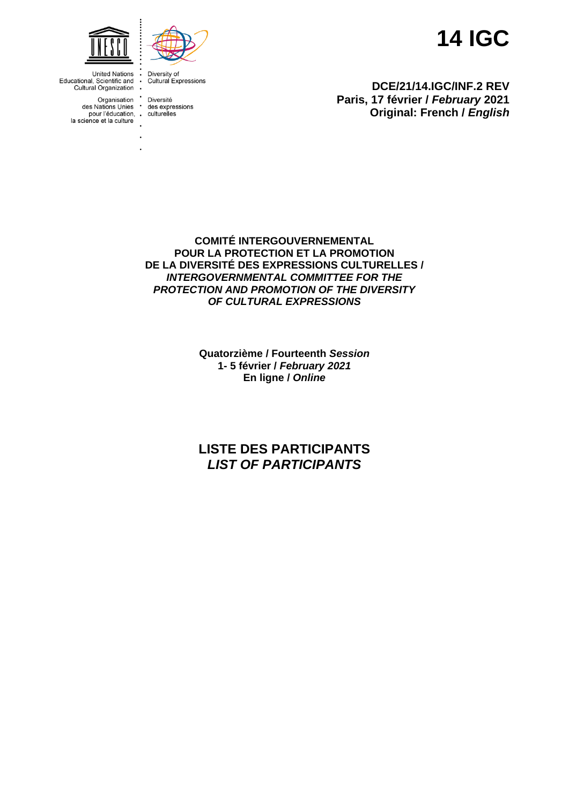



Diversity of<br>Cultural Expressions  $\ddot{\phantom{a}}$  $\ddot{\cdot}$ 

Organisation Diversité<br>des Nations Unies des expressions<br>pour l'éducation, culturelles

**14 IGC**

**DCE/21/14.IGC/INF.2 REV Paris, 17 février /** *February* **2021 Original: French /** *English*

**COMITÉ INTERGOUVERNEMENTAL POUR LA PROTECTION ET LA PROMOTION DE LA DIVERSITÉ DES EXPRESSIONS CULTURELLES /** *INTERGOVERNMENTAL COMMITTEE FOR THE PROTECTION AND PROMOTION OF THE DIVERSITY OF CULTURAL EXPRESSIONS*

> **Quatorzième / Fourteenth** *Session* **1- 5 février /** *February 2021* **En ligne /** *Online*

# **LISTE DES PARTICIPANTS** *LIST OF PARTICIPANTS*

**United Nations** Educational, Scientific and Cultural Organization .

- 
- la science et la culture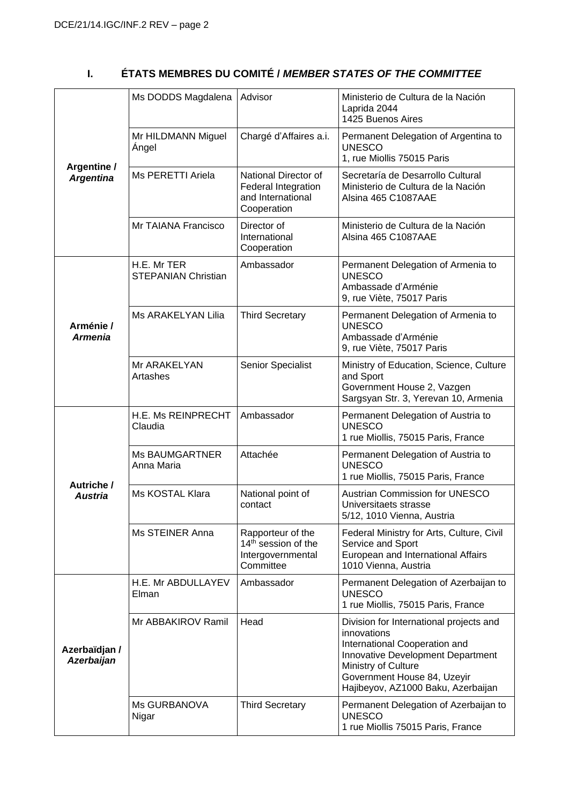# **I. ÉTATS MEMBRES DU COMITÉ /** *MEMBER STATES OF THE COMMITTEE*

|                                    | Ms DODDS Magdalena                        | Advisor                                                                                | Ministerio de Cultura de la Nación<br>Laprida 2044<br>1425 Buenos Aires                                                                                                                                                  |
|------------------------------------|-------------------------------------------|----------------------------------------------------------------------------------------|--------------------------------------------------------------------------------------------------------------------------------------------------------------------------------------------------------------------------|
|                                    | Mr HILDMANN Miguel<br>Angel               | Chargé d'Affaires a.i.                                                                 | Permanent Delegation of Argentina to<br><b>UNESCO</b><br>1, rue Miollis 75015 Paris                                                                                                                                      |
| Argentine /<br><b>Argentina</b>    | Ms PERETTI Ariela                         | National Director of<br>Federal Integration<br>and International<br>Cooperation        | Secretaría de Desarrollo Cultural<br>Ministerio de Cultura de la Nación<br>Alsina 465 C1087AAE                                                                                                                           |
|                                    | Mr TAIANA Francisco                       | Director of<br>International<br>Cooperation                                            | Ministerio de Cultura de la Nación<br>Alsina 465 C1087AAE                                                                                                                                                                |
|                                    | H.E. Mr TER<br><b>STEPANIAN Christian</b> | Ambassador                                                                             | Permanent Delegation of Armenia to<br><b>UNESCO</b><br>Ambassade d'Arménie<br>9, rue Viète, 75017 Paris                                                                                                                  |
| Arménie /<br><b>Armenia</b>        | Ms ARAKELYAN Lilia                        | <b>Third Secretary</b>                                                                 | Permanent Delegation of Armenia to<br><b>UNESCO</b><br>Ambassade d'Arménie<br>9, rue Viète, 75017 Paris                                                                                                                  |
|                                    | Mr ARAKELYAN<br>Artashes                  | Senior Specialist                                                                      | Ministry of Education, Science, Culture<br>and Sport<br>Government House 2, Vazgen<br>Sargsyan Str. 3, Yerevan 10, Armenia                                                                                               |
|                                    | H.E. Ms REINPRECHT<br>Claudia             | Ambassador                                                                             | Permanent Delegation of Austria to<br><b>UNESCO</b><br>1 rue Miollis, 75015 Paris, France                                                                                                                                |
|                                    | <b>Ms BAUMGARTNER</b><br>Anna Maria       | Attachée                                                                               | Permanent Delegation of Austria to<br><b>UNESCO</b><br>1 rue Miollis, 75015 Paris, France                                                                                                                                |
| Autriche /<br><b>Austria</b>       | Ms KOSTAL Klara                           | National point of<br>contact                                                           | <b>Austrian Commission for UNESCO</b><br>Universitaets strasse<br>5/12, 1010 Vienna, Austria                                                                                                                             |
|                                    | Ms STEINER Anna                           | Rapporteur of the<br>14 <sup>th</sup> session of the<br>Intergovernmental<br>Committee | Federal Ministry for Arts, Culture, Civil<br>Service and Sport<br>European and International Affairs<br>1010 Vienna, Austria                                                                                             |
|                                    | H.E. Mr ABDULLAYEV<br>Elman               | Ambassador                                                                             | Permanent Delegation of Azerbaijan to<br><b>UNESCO</b><br>1 rue Miollis, 75015 Paris, France                                                                                                                             |
| Azerbaïdjan /<br><b>Azerbaijan</b> | Mr ABBAKIROV Ramil                        | Head                                                                                   | Division for International projects and<br>innovations<br>International Cooperation and<br>Innovative Development Department<br>Ministry of Culture<br>Government House 84, Uzeyir<br>Hajibeyov, AZ1000 Baku, Azerbaijan |
|                                    | Ms GURBANOVA<br>Nigar                     | <b>Third Secretary</b>                                                                 | Permanent Delegation of Azerbaijan to<br><b>UNESCO</b><br>1 rue Miollis 75015 Paris, France                                                                                                                              |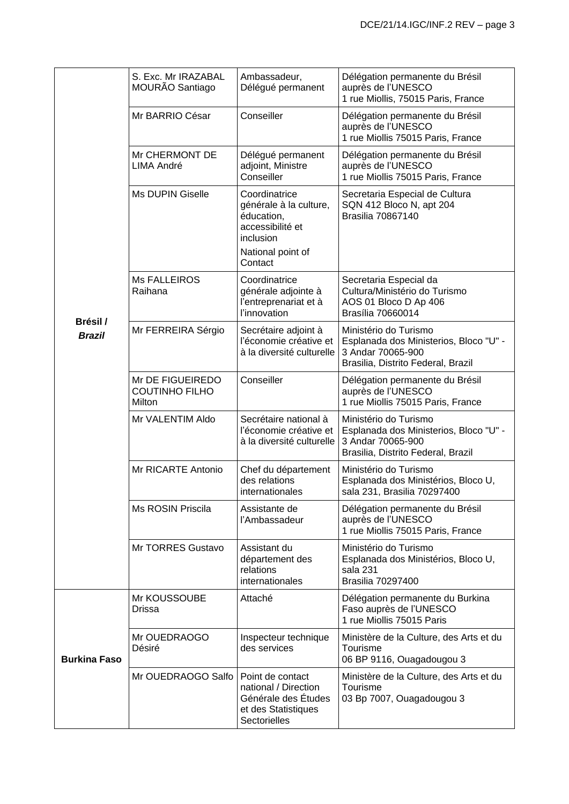|                           | S. Exc. Mr IRAZABAL<br>MOURÃO Santiago              | Ambassadeur,<br>Délégué permanent                                                                                      | Délégation permanente du Brésil<br>auprès de l'UNESCO<br>1 rue Miollis, 75015 Paris, France                                |
|---------------------------|-----------------------------------------------------|------------------------------------------------------------------------------------------------------------------------|----------------------------------------------------------------------------------------------------------------------------|
|                           | Mr BARRIO César                                     | Conseiller                                                                                                             | Délégation permanente du Brésil<br>auprès de l'UNESCO<br>1 rue Miollis 75015 Paris, France                                 |
|                           | Mr CHERMONT DE<br>LIMA André                        | Délégué permanent<br>adjoint, Ministre<br>Conseiller                                                                   | Délégation permanente du Brésil<br>auprès de l'UNESCO<br>1 rue Miollis 75015 Paris, France                                 |
|                           | <b>Ms DUPIN Giselle</b>                             | Coordinatrice<br>générale à la culture,<br>éducation,<br>accessibilité et<br>inclusion<br>National point of<br>Contact | Secretaria Especial de Cultura<br>SQN 412 Bloco N, apt 204<br><b>Brasilia 70867140</b>                                     |
|                           | <b>Ms FALLEIROS</b><br>Raihana                      | Coordinatrice<br>générale adjointe à<br>l'entreprenariat et à<br>l'innovation                                          | Secretaria Especial da<br>Cultura/Ministério do Turismo<br>AOS 01 Bloco D Ap 406<br>Brasília 70660014                      |
| Brésil /<br><b>Brazil</b> | Mr FERREIRA Sérgio                                  | Secrétaire adjoint à<br>l'économie créative et<br>à la diversité culturelle                                            | Ministério do Turismo<br>Esplanada dos Ministerios, Bloco "U" -<br>3 Andar 70065-900<br>Brasilia, Distrito Federal, Brazil |
|                           | Mr DE FIGUEIREDO<br><b>COUTINHO FILHO</b><br>Milton | Conseiller                                                                                                             | Délégation permanente du Brésil<br>auprès de l'UNESCO<br>1 rue Miollis 75015 Paris, France                                 |
|                           | Mr VALENTIM Aldo                                    | Secrétaire national à<br>l'économie créative et<br>à la diversité culturelle                                           | Ministério do Turismo<br>Esplanada dos Ministerios, Bloco "U" -<br>3 Andar 70065-900<br>Brasilia, Distrito Federal, Brazil |
|                           | Mr RICARTE Antonio                                  | Chef du département<br>des relations<br>internationales                                                                | Ministério do Turismo<br>Esplanada dos Ministérios, Bloco U,<br>sala 231, Brasilia 70297400                                |
|                           | Ms ROSIN Priscila                                   | Assistante de<br>l'Ambassadeur                                                                                         | Délégation permanente du Brésil<br>auprès de l'UNESCO<br>1 rue Miollis 75015 Paris, France                                 |
|                           | Mr TORRES Gustavo                                   | Assistant du<br>département des<br>relations<br>internationales                                                        | Ministério do Turismo<br>Esplanada dos Ministérios, Bloco U,<br>sala 231<br><b>Brasilia 70297400</b>                       |
|                           | Mr KOUSSOUBE<br>Drissa                              | Attaché                                                                                                                | Délégation permanente du Burkina<br>Faso auprès de l'UNESCO<br>1 rue Miollis 75015 Paris                                   |
| <b>Burkina Faso</b>       | Mr OUEDRAOGO<br>Désiré                              | Inspecteur technique<br>des services                                                                                   | Ministère de la Culture, des Arts et du<br>Tourisme<br>06 BP 9116, Ouagadougou 3                                           |
|                           | Mr OUEDRAOGO Salfo                                  | Point de contact<br>national / Direction<br>Générale des Études<br>et des Statistiques<br>Sectorielles                 | Ministère de la Culture, des Arts et du<br>Tourisme<br>03 Bp 7007, Ouagadougou 3                                           |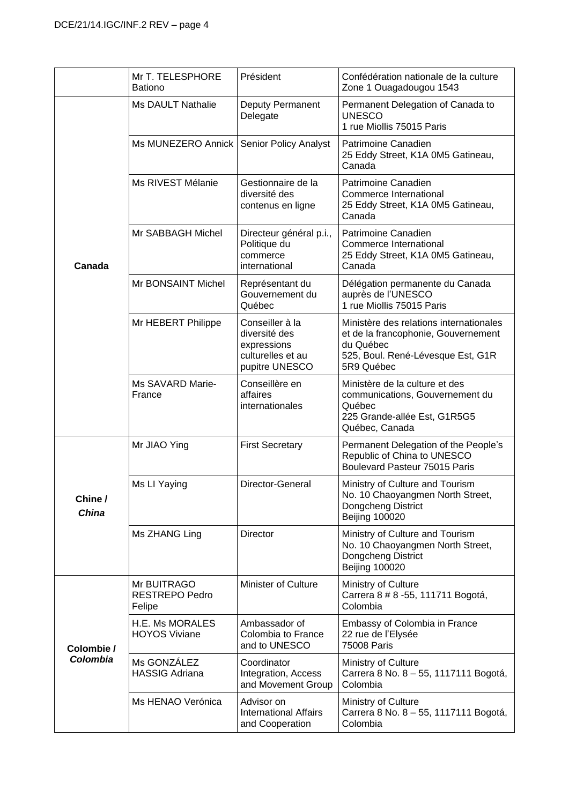|                         | Mr T. TELESPHORE<br><b>Bationo</b>             | Président                                                                              | Confédération nationale de la culture<br>Zone 1 Ouagadougou 1543                                                                               |
|-------------------------|------------------------------------------------|----------------------------------------------------------------------------------------|------------------------------------------------------------------------------------------------------------------------------------------------|
|                         | <b>Ms DAULT Nathalie</b>                       | Deputy Permanent<br>Delegate                                                           | Permanent Delegation of Canada to<br><b>UNESCO</b><br>1 rue Miollis 75015 Paris                                                                |
|                         | Ms MUNEZERO Annick                             | <b>Senior Policy Analyst</b>                                                           | Patrimoine Canadien<br>25 Eddy Street, K1A 0M5 Gatineau,<br>Canada                                                                             |
|                         | Ms RIVEST Mélanie                              | Gestionnaire de la<br>diversité des<br>contenus en ligne                               | Patrimoine Canadien<br>Commerce International<br>25 Eddy Street, K1A 0M5 Gatineau,<br>Canada                                                   |
| Canada                  | Mr SABBAGH Michel                              | Directeur général p.i.,<br>Politique du<br>commerce<br>international                   | Patrimoine Canadien<br>Commerce International<br>25 Eddy Street, K1A 0M5 Gatineau,<br>Canada                                                   |
|                         | Mr BONSAINT Michel                             | Représentant du<br>Gouvernement du<br>Québec                                           | Délégation permanente du Canada<br>auprès de l'UNESCO<br>1 rue Miollis 75015 Paris                                                             |
|                         | Mr HEBERT Philippe                             | Conseiller à la<br>diversité des<br>expressions<br>culturelles et au<br>pupitre UNESCO | Ministère des relations internationales<br>et de la francophonie, Gouvernement<br>du Québec<br>525, Boul. René-Lévesque Est, G1R<br>5R9 Québec |
|                         | Ms SAVARD Marie-<br>France                     | Conseillère en<br>affaires<br>internationales                                          | Ministère de la culture et des<br>communications, Gouvernement du<br>Québec<br>225 Grande-allée Est, G1R5G5<br>Québec, Canada                  |
|                         | Mr JIAO Ying                                   | <b>First Secretary</b>                                                                 | Permanent Delegation of the People's<br>Republic of China to UNESCO<br>Boulevard Pasteur 75015 Paris                                           |
| Chine /<br><b>China</b> | Ms LI Yaying                                   | Director-General                                                                       | Ministry of Culture and Tourism<br>No. 10 Chaoyangmen North Street,<br>Dongcheng District<br><b>Beijing 100020</b>                             |
|                         | Ms ZHANG Ling                                  | Director                                                                               | Ministry of Culture and Tourism<br>No. 10 Chaoyangmen North Street,<br>Dongcheng District<br><b>Beijing 100020</b>                             |
| Colombie /<br>Colombia  | Mr BUITRAGO<br><b>RESTREPO Pedro</b><br>Felipe | <b>Minister of Culture</b>                                                             | Ministry of Culture<br>Carrera 8 # 8 - 55, 111711 Bogotá,<br>Colombia                                                                          |
|                         | H.E. Ms MORALES<br><b>HOYOS Viviane</b>        | Ambassador of<br>Colombia to France<br>and to UNESCO                                   | Embassy of Colombia in France<br>22 rue de l'Elysée<br>75008 Paris                                                                             |
|                         | Ms GONZÁLEZ<br><b>HASSIG Adriana</b>           | Coordinator<br>Integration, Access<br>and Movement Group                               | Ministry of Culture<br>Carrera 8 No. 8 - 55, 1117111 Bogotá,<br>Colombia                                                                       |
|                         | Ms HENAO Verónica                              | Advisor on<br><b>International Affairs</b><br>and Cooperation                          | Ministry of Culture<br>Carrera 8 No. 8 - 55, 1117111 Bogotá,<br>Colombia                                                                       |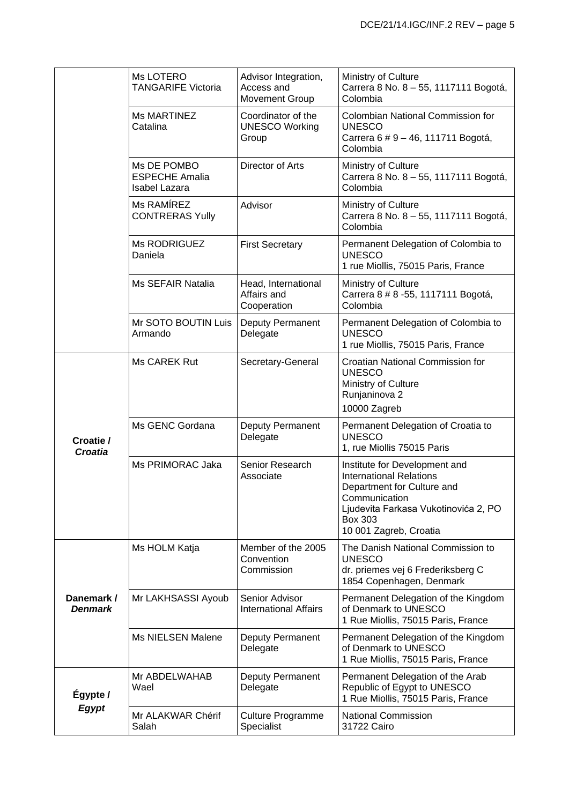|                              | Ms LOTERO<br><b>TANGARIFE Victoria</b>                | Advisor Integration,<br>Access and<br><b>Movement Group</b> | Ministry of Culture<br>Carrera 8 No. 8 - 55, 1117111 Bogotá,<br>Colombia                                                                                                                    |
|------------------------------|-------------------------------------------------------|-------------------------------------------------------------|---------------------------------------------------------------------------------------------------------------------------------------------------------------------------------------------|
|                              | <b>Ms MARTINEZ</b><br>Catalina                        | Coordinator of the<br><b>UNESCO Working</b><br>Group        | Colombian National Commission for<br><b>UNESCO</b><br>Carrera 6 # 9 - 46, 111711 Bogotá,<br>Colombia                                                                                        |
|                              | Ms DE POMBO<br><b>ESPECHE Amalia</b><br>Isabel Lazara | Director of Arts                                            | Ministry of Culture<br>Carrera 8 No. 8 - 55, 1117111 Bogotá,<br>Colombia                                                                                                                    |
|                              | Ms RAMÍREZ<br><b>CONTRERAS Yully</b>                  | Advisor                                                     | Ministry of Culture<br>Carrera 8 No. 8 - 55, 1117111 Bogotá,<br>Colombia                                                                                                                    |
|                              | Ms RODRIGUEZ<br>Daniela                               | <b>First Secretary</b>                                      | Permanent Delegation of Colombia to<br><b>UNESCO</b><br>1 rue Miollis, 75015 Paris, France                                                                                                  |
|                              | Ms SEFAIR Natalia                                     | Head, International<br>Affairs and<br>Cooperation           | Ministry of Culture<br>Carrera 8 # 8 - 55, 1117111 Bogotá,<br>Colombia                                                                                                                      |
|                              | Mr SOTO BOUTIN Luis<br>Armando                        | Deputy Permanent<br>Delegate                                | Permanent Delegation of Colombia to<br><b>UNESCO</b><br>1 rue Miollis, 75015 Paris, France                                                                                                  |
|                              | Ms CAREK Rut                                          | Secretary-General                                           | Croatian National Commission for<br><b>UNESCO</b><br>Ministry of Culture<br>Runjaninova 2<br>10000 Zagreb                                                                                   |
| Croatie /<br>Croatia         | Ms GENC Gordana                                       | Deputy Permanent<br>Delegate                                | Permanent Delegation of Croatia to<br><b>UNESCO</b><br>1, rue Miollis 75015 Paris                                                                                                           |
|                              | Ms PRIMORAC Jaka                                      | Senior Research<br>Associate                                | Institute for Development and<br><b>International Relations</b><br>Department for Culture and<br>Communication<br>Ljudevita Farkasa Vukotinovića 2, PO<br>Box 303<br>10 001 Zagreb, Croatia |
|                              | Ms HOLM Katja                                         | Member of the 2005<br>Convention<br>Commission              | The Danish National Commission to<br><b>UNESCO</b><br>dr. priemes vej 6 Frederiksberg C<br>1854 Copenhagen, Denmark                                                                         |
| Danemark /<br><b>Denmark</b> | Mr LAKHSASSI Ayoub                                    | Senior Advisor<br><b>International Affairs</b>              | Permanent Delegation of the Kingdom<br>of Denmark to UNESCO<br>1 Rue Miollis, 75015 Paris, France                                                                                           |
|                              | Ms NIELSEN Malene                                     | Deputy Permanent<br>Delegate                                | Permanent Delegation of the Kingdom<br>of Denmark to UNESCO<br>1 Rue Miollis, 75015 Paris, France                                                                                           |
| Égypte /                     | Mr ABDELWAHAB<br>Wael                                 | Deputy Permanent<br>Delegate                                | Permanent Delegation of the Arab<br>Republic of Egypt to UNESCO<br>1 Rue Miollis, 75015 Paris, France                                                                                       |
| <b>Egypt</b>                 | Mr ALAKWAR Chérif<br>Salah                            | <b>Culture Programme</b><br>Specialist                      | <b>National Commission</b><br>31722 Cairo                                                                                                                                                   |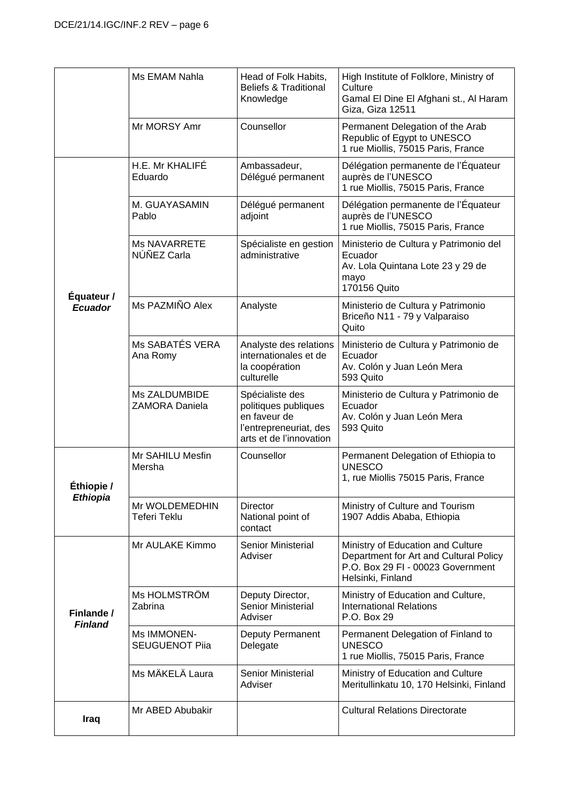|                              | Ms EMAM Nahla                          | Head of Folk Habits,<br><b>Beliefs &amp; Traditional</b><br>Knowledge                                        | High Institute of Folklore, Ministry of<br>Culture<br>Gamal El Dine El Afghani st., Al Haram<br>Giza, Giza 12511                      |
|------------------------------|----------------------------------------|--------------------------------------------------------------------------------------------------------------|---------------------------------------------------------------------------------------------------------------------------------------|
|                              | Mr MORSY Amr                           | Counsellor                                                                                                   | Permanent Delegation of the Arab<br>Republic of Egypt to UNESCO<br>1 rue Miollis, 75015 Paris, France                                 |
|                              | H.E. Mr KHALIFÉ<br>Eduardo             | Ambassadeur,<br>Délégué permanent                                                                            | Délégation permanente de l'Équateur<br>auprès de l'UNESCO<br>1 rue Miollis, 75015 Paris, France                                       |
|                              | M. GUAYASAMIN<br>Pablo                 | Délégué permanent<br>adjoint                                                                                 | Délégation permanente de l'Équateur<br>auprès de l'UNESCO<br>1 rue Miollis, 75015 Paris, France                                       |
| Équateur /                   | <b>Ms NAVARRETE</b><br>NÚÑEZ Carla     | Spécialiste en gestion<br>administrative                                                                     | Ministerio de Cultura y Patrimonio del<br>Ecuador<br>Av. Lola Quintana Lote 23 y 29 de<br>mayo<br>170156 Quito                        |
| <b>Ecuador</b>               | Ms PAZMIÑO Alex                        | Analyste                                                                                                     | Ministerio de Cultura y Patrimonio<br>Briceño N11 - 79 y Valparaiso<br>Quito                                                          |
|                              | Ms SABATÉS VERA<br>Ana Romy            | Analyste des relations<br>internationales et de<br>la coopération<br>culturelle                              | Ministerio de Cultura y Patrimonio de<br>Ecuador<br>Av. Colón y Juan León Mera<br>593 Quito                                           |
|                              | Ms ZALDUMBIDE<br><b>ZAMORA Daniela</b> | Spécialiste des<br>politiques publiques<br>en faveur de<br>l'entrepreneuriat, des<br>arts et de l'innovation | Ministerio de Cultura y Patrimonio de<br>Ecuador<br>Av. Colón y Juan León Mera<br>593 Quito                                           |
| Éthiopie /                   | Mr SAHILU Mesfin<br>Mersha             | Counsellor                                                                                                   | Permanent Delegation of Ethiopia to<br><b>UNESCO</b><br>1, rue Miollis 75015 Paris, France                                            |
| <b>Ethiopia</b>              | Mr WOLDEMEDHIN<br>Teferi Teklu         | <b>Director</b><br>National point of<br>contact                                                              | Ministry of Culture and Tourism<br>1907 Addis Ababa, Ethiopia                                                                         |
|                              | Mr AULAKE Kimmo                        | Senior Ministerial<br>Adviser                                                                                | Ministry of Education and Culture<br>Department for Art and Cultural Policy<br>P.O. Box 29 FI - 00023 Government<br>Helsinki, Finland |
| Finlande /<br><b>Finland</b> | Ms HOLMSTRÖM<br>Zabrina                | Deputy Director,<br><b>Senior Ministerial</b><br>Adviser                                                     | Ministry of Education and Culture,<br><b>International Relations</b><br>P.O. Box 29                                                   |
|                              | Ms IMMONEN-<br><b>SEUGUENOT Piia</b>   | Deputy Permanent<br>Delegate                                                                                 | Permanent Delegation of Finland to<br><b>UNESCO</b><br>1 rue Miollis, 75015 Paris, France                                             |
|                              | Ms MÄKELÄ Laura                        | <b>Senior Ministerial</b><br>Adviser                                                                         | Ministry of Education and Culture<br>Meritullinkatu 10, 170 Helsinki, Finland                                                         |
| Iraq                         | Mr ABED Abubakir                       |                                                                                                              | <b>Cultural Relations Directorate</b>                                                                                                 |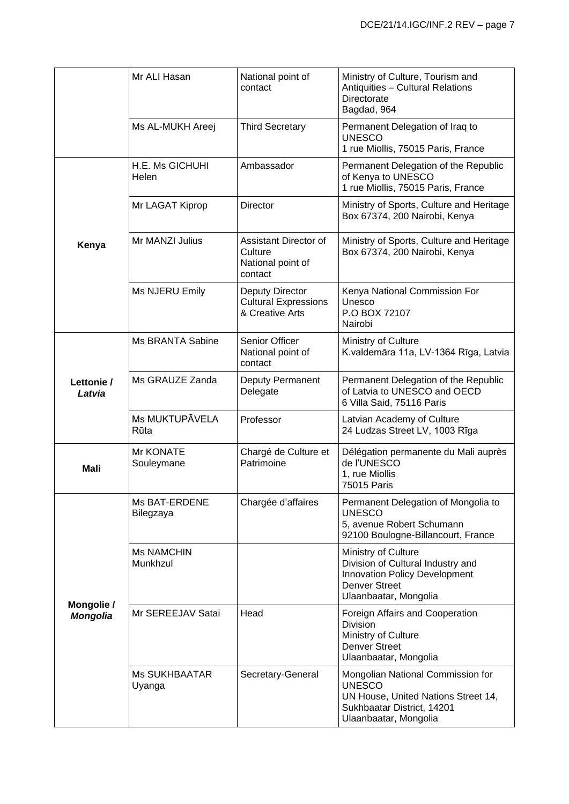|                      | Mr ALI Hasan                   | National point of<br>contact                                      | Ministry of Culture, Tourism and<br>Antiquities - Cultural Relations<br>Directorate<br>Bagdad, 964                                               |
|----------------------|--------------------------------|-------------------------------------------------------------------|--------------------------------------------------------------------------------------------------------------------------------------------------|
|                      | Ms AL-MUKH Areej               | <b>Third Secretary</b>                                            | Permanent Delegation of Iraq to<br><b>UNESCO</b><br>1 rue Miollis, 75015 Paris, France                                                           |
|                      | H.E. Ms GICHUHI<br>Helen       | Ambassador                                                        | Permanent Delegation of the Republic<br>of Kenya to UNESCO<br>1 rue Miollis, 75015 Paris, France                                                 |
|                      | Mr LAGAT Kiprop                | Director                                                          | Ministry of Sports, Culture and Heritage<br>Box 67374, 200 Nairobi, Kenya                                                                        |
| Kenya                | Mr MANZI Julius                | Assistant Director of<br>Culture<br>National point of<br>contact  | Ministry of Sports, Culture and Heritage<br>Box 67374, 200 Nairobi, Kenya                                                                        |
|                      | Ms NJERU Emily                 | Deputy Director<br><b>Cultural Expressions</b><br>& Creative Arts | Kenya National Commission For<br>Unesco<br>P.O BOX 72107<br>Nairobi                                                                              |
|                      | <b>Ms BRANTA Sabine</b>        | Senior Officer<br>National point of<br>contact                    | Ministry of Culture<br>K.valdemāra 11a, LV-1364 Rīga, Latvia                                                                                     |
| Lettonie /<br>Latvia | Ms GRAUZE Zanda                | Deputy Permanent<br>Delegate                                      | Permanent Delegation of the Republic<br>of Latvia to UNESCO and OECD<br>6 Villa Said, 75116 Paris                                                |
|                      | Ms MUKTUPĀVELA<br>Rūta         | Professor                                                         | Latvian Academy of Culture<br>24 Ludzas Street LV, 1003 Rīga                                                                                     |
| <b>Mali</b>          | Mr KONATE<br>Souleymane        | Chargé de Culture et<br>Patrimoine                                | Délégation permanente du Mali auprès<br>de l'UNESCO<br>1, rue Miollis<br>75015 Paris                                                             |
|                      | Ms BAT-ERDENE<br>Bilegzaya     | Chargée d'affaires                                                | Permanent Delegation of Mongolia to<br><b>UNESCO</b><br>5, avenue Robert Schumann<br>92100 Boulogne-Billancourt, France                          |
| Mongolie /           | <b>Ms NAMCHIN</b><br>Munkhzul  |                                                                   | Ministry of Culture<br>Division of Cultural Industry and<br>Innovation Policy Development<br><b>Denver Street</b><br>Ulaanbaatar, Mongolia       |
| <b>Mongolia</b>      | Mr SEREEJAV Satai              | Head                                                              | Foreign Affairs and Cooperation<br><b>Division</b><br>Ministry of Culture<br><b>Denver Street</b><br>Ulaanbaatar, Mongolia                       |
|                      | <b>Ms SUKHBAATAR</b><br>Uyanga | Secretary-General                                                 | Mongolian National Commission for<br><b>UNESCO</b><br>UN House, United Nations Street 14,<br>Sukhbaatar District, 14201<br>Ulaanbaatar, Mongolia |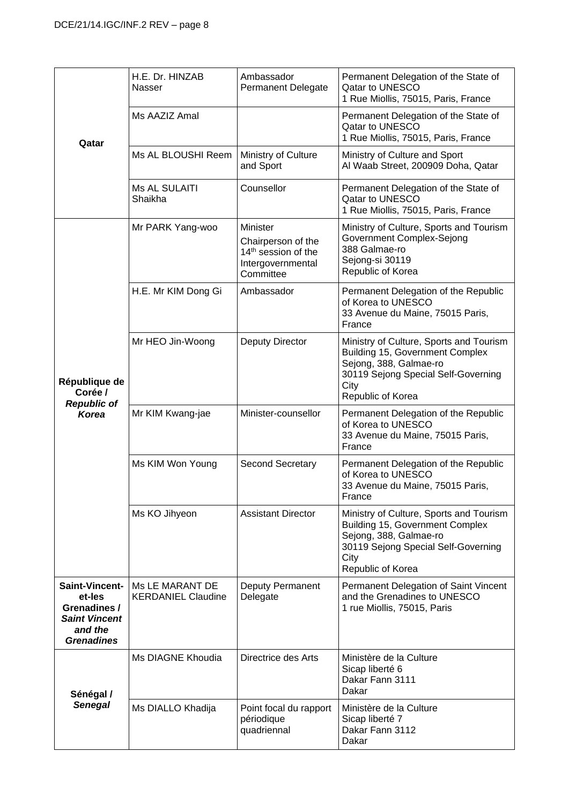| Qatar                                                                                                   | H.E. Dr. HINZAB<br>Nasser                    | Ambassador<br><b>Permanent Delegate</b>                                                             | Permanent Delegation of the State of<br>Qatar to UNESCO<br>1 Rue Miollis, 75015, Paris, France                                                                           |
|---------------------------------------------------------------------------------------------------------|----------------------------------------------|-----------------------------------------------------------------------------------------------------|--------------------------------------------------------------------------------------------------------------------------------------------------------------------------|
|                                                                                                         | Ms AAZIZ Amal                                |                                                                                                     | Permanent Delegation of the State of<br>Qatar to UNESCO<br>1 Rue Miollis, 75015, Paris, France                                                                           |
|                                                                                                         | Ms AL BLOUSHI Reem                           | Ministry of Culture<br>and Sport                                                                    | Ministry of Culture and Sport<br>Al Waab Street, 200909 Doha, Qatar                                                                                                      |
|                                                                                                         | Ms AL SULAITI<br>Shaikha                     | Counsellor                                                                                          | Permanent Delegation of the State of<br>Qatar to UNESCO<br>1 Rue Miollis, 75015, Paris, France                                                                           |
|                                                                                                         | Mr PARK Yang-woo                             | Minister<br>Chairperson of the<br>14 <sup>th</sup> session of the<br>Intergovernmental<br>Committee | Ministry of Culture, Sports and Tourism<br>Government Complex-Sejong<br>388 Galmae-ro<br>Sejong-si 30119<br>Republic of Korea                                            |
|                                                                                                         | H.E. Mr KIM Dong Gi                          | Ambassador                                                                                          | Permanent Delegation of the Republic<br>of Korea to UNESCO<br>33 Avenue du Maine, 75015 Paris,<br>France                                                                 |
| République de<br>Corée /<br><b>Republic of</b><br><b>Korea</b>                                          | Mr HEO Jin-Woong                             | Deputy Director                                                                                     | Ministry of Culture, Sports and Tourism<br>Building 15, Government Complex<br>Sejong, 388, Galmae-ro<br>30119 Sejong Special Self-Governing<br>City<br>Republic of Korea |
|                                                                                                         | Mr KIM Kwang-jae                             | Minister-counsellor                                                                                 | Permanent Delegation of the Republic<br>of Korea to UNESCO<br>33 Avenue du Maine, 75015 Paris,<br>France                                                                 |
|                                                                                                         | Ms KIM Won Young                             | <b>Second Secretary</b>                                                                             | Permanent Delegation of the Republic<br>of Korea to UNESCO<br>33 Avenue du Maine, 75015 Paris,<br>France                                                                 |
|                                                                                                         | Ms KO Jihyeon                                | <b>Assistant Director</b>                                                                           | Ministry of Culture, Sports and Tourism<br>Building 15, Government Complex<br>Sejong, 388, Galmae-ro<br>30119 Sejong Special Self-Governing<br>City<br>Republic of Korea |
| <b>Saint-Vincent-</b><br>et-les<br>Grenadines /<br><b>Saint Vincent</b><br>and the<br><b>Grenadines</b> | Ms LE MARANT DE<br><b>KERDANIEL Claudine</b> | Deputy Permanent<br>Delegate                                                                        | Permanent Delegation of Saint Vincent<br>and the Grenadines to UNESCO<br>1 rue Miollis, 75015, Paris                                                                     |
| Sénégal /                                                                                               | Ms DIAGNE Khoudia                            | Directrice des Arts                                                                                 | Ministère de la Culture<br>Sicap liberté 6<br>Dakar Fann 3111<br>Dakar                                                                                                   |
| <b>Senegal</b>                                                                                          | Ms DIALLO Khadija                            | Point focal du rapport<br>périodique<br>quadriennal                                                 | Ministère de la Culture<br>Sicap liberté 7<br>Dakar Fann 3112<br>Dakar                                                                                                   |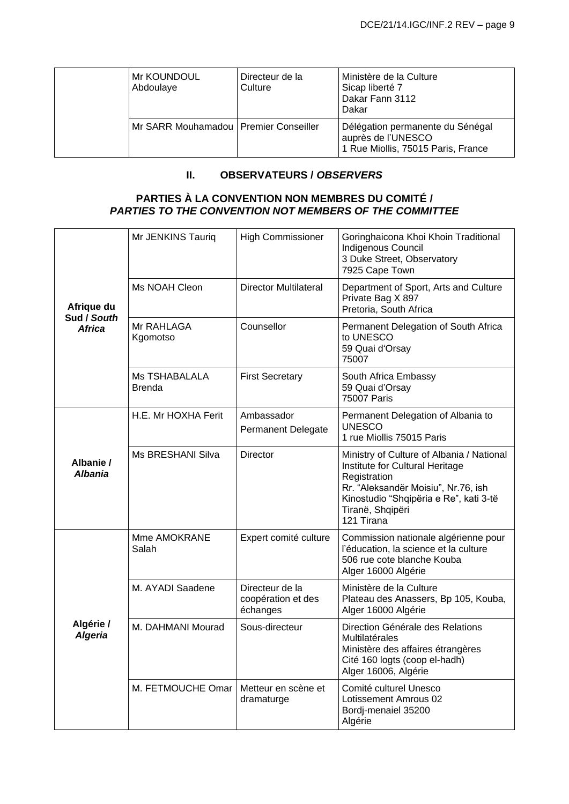| Mr KOUNDOUL<br>Abdoulaye                | Directeur de la<br>Culture | Ministère de la Culture<br>Sicap liberté 7<br>Dakar Fann 3112<br>Dakar                       |
|-----------------------------------------|----------------------------|----------------------------------------------------------------------------------------------|
| Mr SARR Mouhamadou   Premier Conseiller |                            | Délégation permanente du Sénégal<br>auprès de l'UNESCO<br>1 Rue Miollis, 75015 Paris, France |

### **II. OBSERVATEURS /** *OBSERVERS*

#### **PARTIES À LA CONVENTION NON MEMBRES DU COMITÉ /** *PARTIES TO THE CONVENTION NOT MEMBERS OF THE COMMITTEE*

| Afrique du<br>Sud / South<br><b>Africa</b> | Mr JENKINS Tauriq                     | <b>High Commissioner</b>                          | Goringhaicona Khoi Khoin Traditional<br>Indigenous Council<br>3 Duke Street, Observatory<br>7925 Cape Town                                                                                                      |
|--------------------------------------------|---------------------------------------|---------------------------------------------------|-----------------------------------------------------------------------------------------------------------------------------------------------------------------------------------------------------------------|
|                                            | Ms NOAH Cleon                         | <b>Director Multilateral</b>                      | Department of Sport, Arts and Culture<br>Private Bag X 897<br>Pretoria, South Africa                                                                                                                            |
|                                            | Mr RAHLAGA<br>Kgomotso                | Counsellor                                        | Permanent Delegation of South Africa<br>to UNESCO<br>59 Quai d'Orsay<br>75007                                                                                                                                   |
|                                            | <b>Ms TSHABALALA</b><br><b>Brenda</b> | <b>First Secretary</b>                            | South Africa Embassy<br>59 Quai d'Orsay<br>75007 Paris                                                                                                                                                          |
|                                            | H.E. Mr HOXHA Ferit                   | Ambassador<br><b>Permanent Delegate</b>           | Permanent Delegation of Albania to<br><b>UNESCO</b><br>1 rue Miollis 75015 Paris                                                                                                                                |
| Albanie /<br><b>Albania</b>                | Ms BRESHANI Silva                     | Director                                          | Ministry of Culture of Albania / National<br>Institute for Cultural Heritage<br>Registration<br>Rr. "Aleksandër Moisiu", Nr.76, ish<br>Kinostudio "Shqipëria e Re", kati 3-të<br>Tiranë, Shqipëri<br>121 Tirana |
|                                            | Mme AMOKRANE<br>Salah                 | Expert comité culture                             | Commission nationale algérienne pour<br>l'éducation, la science et la culture<br>506 rue cote blanche Kouba<br>Alger 16000 Algérie                                                                              |
|                                            | M. AYADI Saadene                      | Directeur de la<br>coopération et des<br>échanges | Ministère de la Culture<br>Plateau des Anassers, Bp 105, Kouba,<br>Alger 16000 Algérie                                                                                                                          |
| Algérie /<br><b>Algeria</b>                | M. DAHMANI Mourad                     | Sous-directeur                                    | Direction Générale des Relations<br>Multilatérales<br>Ministère des affaires étrangères<br>Cité 160 logts (coop el-hadh)<br>Alger 16006, Algérie                                                                |
|                                            | M. FETMOUCHE Omar                     | Metteur en scène et<br>dramaturge                 | Comité culturel Unesco<br>Lotissement Amrous 02<br>Bordj-menaiel 35200<br>Algérie                                                                                                                               |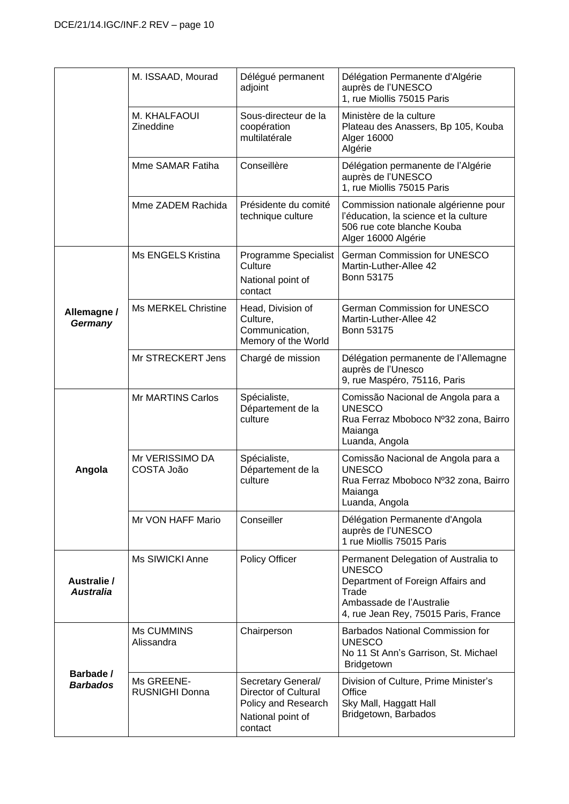|                                     | M. ISSAAD, Mourad                   | Délégué permanent<br>adjoint                                                                             | Délégation Permanente d'Algérie<br>auprès de l'UNESCO<br>1, rue Miollis 75015 Paris                                                                                     |
|-------------------------------------|-------------------------------------|----------------------------------------------------------------------------------------------------------|-------------------------------------------------------------------------------------------------------------------------------------------------------------------------|
|                                     | M. KHALFAOUI<br>Zineddine           | Sous-directeur de la<br>coopération<br>multilatérale                                                     | Ministère de la culture<br>Plateau des Anassers, Bp 105, Kouba<br>Alger 16000<br>Algérie                                                                                |
|                                     | Mme SAMAR Fatiha                    | Conseillère                                                                                              | Délégation permanente de l'Algérie<br>auprès de l'UNESCO<br>1, rue Miollis 75015 Paris                                                                                  |
|                                     | Mme ZADEM Rachida                   | Présidente du comité<br>technique culture                                                                | Commission nationale algérienne pour<br>l'éducation, la science et la culture<br>506 rue cote blanche Kouba<br>Alger 16000 Algérie                                      |
|                                     | Ms ENGELS Kristina                  | Programme Specialist<br>Culture<br>National point of<br>contact                                          | German Commission for UNESCO<br>Martin-Luther-Allee 42<br>Bonn 53175                                                                                                    |
| Allemagne /<br>Germany              | <b>Ms MERKEL Christine</b>          | Head, Division of<br>Culture,<br>Communication,<br>Memory of the World                                   | German Commission for UNESCO<br>Martin-Luther-Allee 42<br><b>Bonn 53175</b>                                                                                             |
|                                     | Mr STRECKERT Jens                   | Chargé de mission                                                                                        | Délégation permanente de l'Allemagne<br>auprès de l'Unesco<br>9, rue Maspéro, 75116, Paris                                                                              |
| Angola                              | <b>Mr MARTINS Carlos</b>            | Spécialiste,<br>Département de la<br>culture                                                             | Comissão Nacional de Angola para a<br><b>UNESCO</b><br>Rua Ferraz Mboboco Nº32 zona, Bairro<br>Maianga<br>Luanda, Angola                                                |
|                                     | Mr VERISSIMO DA<br>COSTA João       | Spécialiste,<br>Département de la<br>culture                                                             | Comissão Nacional de Angola para a<br><b>UNESCO</b><br>Rua Ferraz Mboboco Nº32 zona, Bairro<br>Maianga<br>Luanda, Angola                                                |
|                                     | Mr VON HAFF Mario                   | Conseiller                                                                                               | Délégation Permanente d'Angola<br>auprès de l'UNESCO<br>1 rue Miollis 75015 Paris                                                                                       |
| Australie /<br><b>Australia</b>     | Ms SIWICKI Anne                     | Policy Officer                                                                                           | Permanent Delegation of Australia to<br><b>UNESCO</b><br>Department of Foreign Affairs and<br>Trade<br>Ambassade de l'Australie<br>4, rue Jean Rey, 75015 Paris, France |
| <b>Barbade /</b><br><b>Barbados</b> | Ms CUMMINS<br>Alissandra            | Chairperson                                                                                              | <b>Barbados National Commission for</b><br><b>UNESCO</b><br>No 11 St Ann's Garrison, St. Michael<br>Bridgetown                                                          |
|                                     | Ms GREENE-<br><b>RUSNIGHI Donna</b> | Secretary General/<br><b>Director of Cultural</b><br>Policy and Research<br>National point of<br>contact | Division of Culture, Prime Minister's<br>Office<br>Sky Mall, Haggatt Hall<br>Bridgetown, Barbados                                                                       |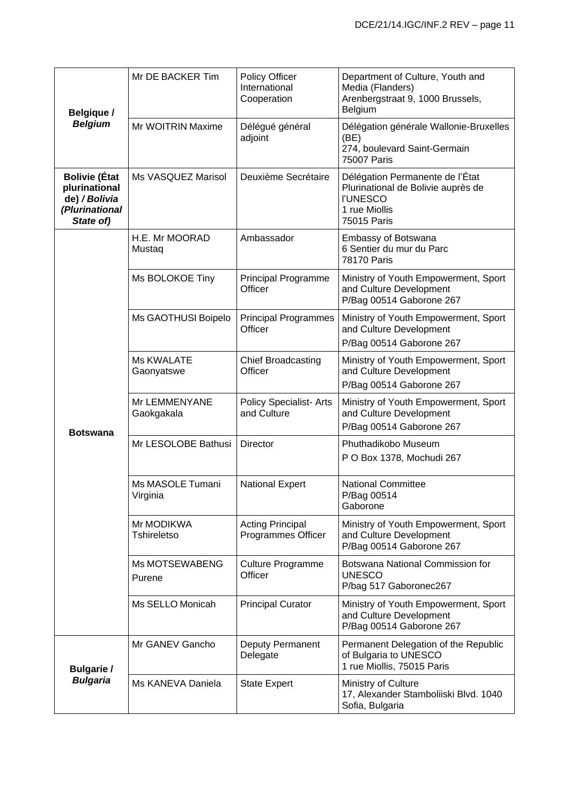| <b>Belgique /</b>                                                                     | Mr DE BACKER Tim                 | <b>Policy Officer</b><br>International<br>Cooperation | Department of Culture, Youth and<br>Media (Flanders)<br>Arenbergstraat 9, 1000 Brussels,<br>Belgium                      |
|---------------------------------------------------------------------------------------|----------------------------------|-------------------------------------------------------|--------------------------------------------------------------------------------------------------------------------------|
| <b>Belgium</b>                                                                        | Mr WOITRIN Maxime                | Délégué général<br>adjoint                            | Délégation générale Wallonie-Bruxelles<br>(BE)<br>274, boulevard Saint-Germain<br>75007 Paris                            |
| <b>Bolivie (État</b><br>plurinational<br>de) / Bolivia<br>(Plurinational<br>State of) | Ms VASQUEZ Marisol               | Deuxième Secrétaire                                   | Délégation Permanente de l'État<br>Plurinational de Bolivie auprès de<br><b>I'UNESCO</b><br>1 rue Miollis<br>75015 Paris |
|                                                                                       | H.E. Mr MOORAD<br>Mustaq         | Ambassador                                            | Embassy of Botswana<br>6 Sentier du mur du Parc<br>78170 Paris                                                           |
|                                                                                       | Ms BOLOKOE Tiny                  | <b>Principal Programme</b><br>Officer                 | Ministry of Youth Empowerment, Sport<br>and Culture Development<br>P/Bag 00514 Gaborone 267                              |
|                                                                                       | Ms GAOTHUSI Boipelo              | <b>Principal Programmes</b><br>Officer                | Ministry of Youth Empowerment, Sport<br>and Culture Development<br>P/Bag 00514 Gaborone 267                              |
|                                                                                       | <b>Ms KWALATE</b><br>Gaonyatswe  | <b>Chief Broadcasting</b><br>Officer                  | Ministry of Youth Empowerment, Sport<br>and Culture Development<br>P/Bag 00514 Gaborone 267                              |
| <b>Botswana</b>                                                                       | Mr LEMMENYANE<br>Gaokgakala      | <b>Policy Specialist-Arts</b><br>and Culture          | Ministry of Youth Empowerment, Sport<br>and Culture Development<br>P/Bag 00514 Gaborone 267                              |
|                                                                                       | Mr LESOLOBE Bathusi              | Director                                              | Phuthadikobo Museum<br>P O Box 1378, Mochudi 267                                                                         |
|                                                                                       | Ms MASOLE Tumani<br>Virginia     | <b>National Expert</b>                                | <b>National Committee</b><br>P/Bag 00514<br>Gaborone                                                                     |
|                                                                                       | Mr MODIKWA<br><b>Tshireletso</b> | <b>Acting Principal</b><br>Programmes Officer         | Ministry of Youth Empowerment, Sport<br>and Culture Development<br>P/Bag 00514 Gaborone 267                              |
|                                                                                       | Ms MOTSEWABENG<br>Purene         | <b>Culture Programme</b><br>Officer                   | Botswana National Commission for<br><b>UNESCO</b><br>P/bag 517 Gaboronec267                                              |
|                                                                                       | Ms SELLO Monicah                 | <b>Principal Curator</b>                              | Ministry of Youth Empowerment, Sport<br>and Culture Development<br>P/Bag 00514 Gaborone 267                              |
| <b>Bulgarie /</b>                                                                     | Mr GANEV Gancho                  | Deputy Permanent<br>Delegate                          | Permanent Delegation of the Republic<br>of Bulgaria to UNESCO<br>1 rue Miollis, 75015 Paris                              |
| <b>Bulgaria</b>                                                                       | Ms KANEVA Daniela                | <b>State Expert</b>                                   | Ministry of Culture<br>17, Alexander Stamboliiski Blvd. 1040<br>Sofia, Bulgaria                                          |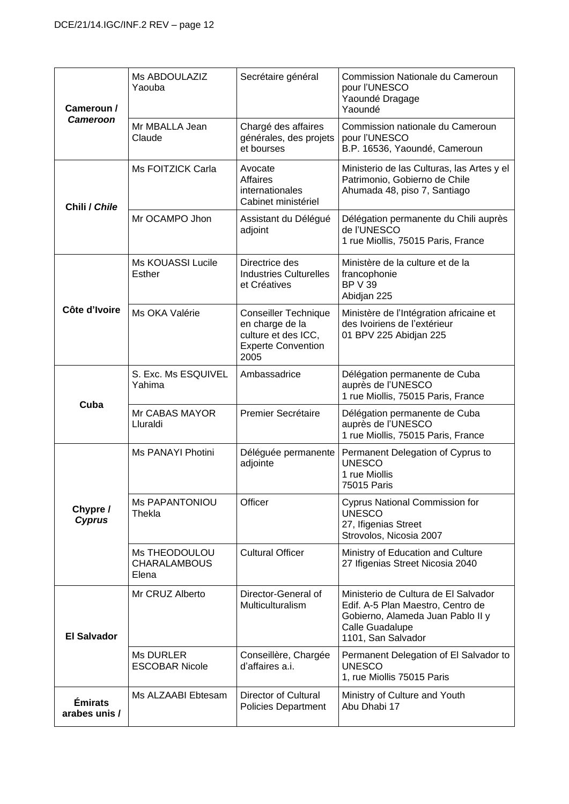| Cameroun /<br>Cameroon<br>Chili / Chile | Ms ABDOULAZIZ<br>Yaouba                       | Secrétaire général                                                                                         | Commission Nationale du Cameroun<br>pour l'UNESCO<br>Yaoundé Dragage<br>Yaoundé                                                                         |
|-----------------------------------------|-----------------------------------------------|------------------------------------------------------------------------------------------------------------|---------------------------------------------------------------------------------------------------------------------------------------------------------|
|                                         | Mr MBALLA Jean<br>Claude                      | Chargé des affaires<br>générales, des projets<br>et bourses                                                | Commission nationale du Cameroun<br>pour l'UNESCO<br>B.P. 16536, Yaoundé, Cameroun                                                                      |
|                                         | Ms FOITZICK Carla                             | Avocate<br><b>Affaires</b><br>internationales<br>Cabinet ministériel                                       | Ministerio de las Culturas, las Artes y el<br>Patrimonio, Gobierno de Chile<br>Ahumada 48, piso 7, Santiago                                             |
|                                         | Mr OCAMPO Jhon                                | Assistant du Délégué<br>adjoint                                                                            | Délégation permanente du Chili auprès<br>de l'UNESCO<br>1 rue Miollis, 75015 Paris, France                                                              |
|                                         | <b>Ms KOUASSI Lucile</b><br>Esther            | Directrice des<br><b>Industries Culturelles</b><br>et Créatives                                            | Ministère de la culture et de la<br>francophonie<br><b>BP V 39</b><br>Abidjan 225                                                                       |
| Côte d'Ivoire                           | Ms OKA Valérie                                | <b>Conseiller Technique</b><br>en charge de la<br>culture et des ICC,<br><b>Experte Convention</b><br>2005 | Ministère de l'Intégration africaine et<br>des Ivoiriens de l'extérieur<br>01 BPV 225 Abidjan 225                                                       |
|                                         | S. Exc. Ms ESQUIVEL<br>Yahima                 | Ambassadrice                                                                                               | Délégation permanente de Cuba<br>auprès de l'UNESCO<br>1 rue Miollis, 75015 Paris, France                                                               |
| Cuba                                    | Mr CABAS MAYOR<br>Lluraldi                    | Premier Secrétaire                                                                                         | Délégation permanente de Cuba<br>auprès de l'UNESCO<br>1 rue Miollis, 75015 Paris, France                                                               |
|                                         | Ms PANAYI Photini                             | Déléguée permanente<br>adjointe                                                                            | Permanent Delegation of Cyprus to<br><b>UNESCO</b><br>1 rue Miollis<br>75015 Paris                                                                      |
| Chypre /<br><b>Cyprus</b>               | <b>Ms PAPANTONIOU</b><br>Thekla               | Officer                                                                                                    | <b>Cyprus National Commission for</b><br><b>UNESCO</b><br>27, Ifigenias Street<br>Strovolos, Nicosia 2007                                               |
|                                         | Ms THEODOULOU<br><b>CHARALAMBOUS</b><br>Elena | <b>Cultural Officer</b>                                                                                    | Ministry of Education and Culture<br>27 Ifigenias Street Nicosia 2040                                                                                   |
| <b>El Salvador</b>                      | Mr CRUZ Alberto                               | Director-General of<br>Multiculturalism                                                                    | Ministerio de Cultura de El Salvador<br>Edif. A-5 Plan Maestro, Centro de<br>Gobierno, Alameda Juan Pablo II y<br>Calle Guadalupe<br>1101, San Salvador |
|                                         | <b>Ms DURLER</b><br><b>ESCOBAR Nicole</b>     | Conseillère, Chargée<br>d'affaires a.i.                                                                    | Permanent Delegation of El Salvador to<br><b>UNESCO</b><br>1, rue Miollis 75015 Paris                                                                   |
| <b>Émirats</b><br>arabes unis /         | Ms ALZAABI Ebtesam                            | Director of Cultural<br><b>Policies Department</b>                                                         | Ministry of Culture and Youth<br>Abu Dhabi 17                                                                                                           |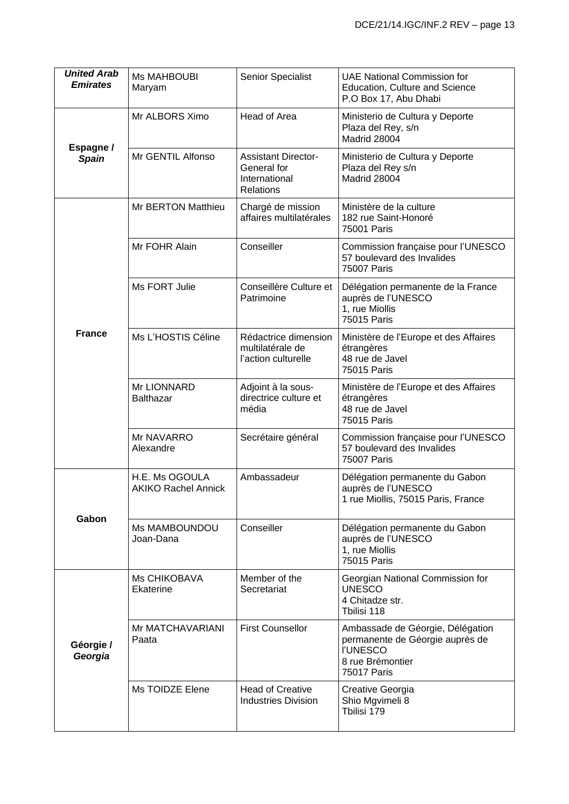| <b>United Arab</b><br><b>Emirates</b> | <b>Ms MAHBOUBI</b><br>Maryam                 | Senior Specialist                                                              | <b>UAE National Commission for</b><br>Education, Culture and Science<br>P.O Box 17, Abu Dhabi                                    |
|---------------------------------------|----------------------------------------------|--------------------------------------------------------------------------------|----------------------------------------------------------------------------------------------------------------------------------|
|                                       | Mr ALBORS Ximo                               | Head of Area                                                                   | Ministerio de Cultura y Deporte<br>Plaza del Rey, s/n<br>Madrid 28004                                                            |
| Espagne /<br><b>Spain</b>             | Mr GENTIL Alfonso                            | <b>Assistant Director-</b><br>General for<br>International<br><b>Relations</b> | Ministerio de Cultura y Deporte<br>Plaza del Rey s/n<br>Madrid 28004                                                             |
|                                       | <b>Mr BERTON Matthieu</b>                    | Chargé de mission<br>affaires multilatérales                                   | Ministère de la culture<br>182 rue Saint-Honoré<br>75001 Paris                                                                   |
|                                       | Mr FOHR Alain                                | Conseiller                                                                     | Commission française pour l'UNESCO<br>57 boulevard des Invalides<br>75007 Paris                                                  |
|                                       | Ms FORT Julie                                | Conseillère Culture et<br>Patrimoine                                           | Délégation permanente de la France<br>auprès de l'UNESCO<br>1, rue Miollis<br>75015 Paris                                        |
| <b>France</b>                         | Ms L'HOSTIS Céline                           | Rédactrice dimension<br>multilatérale de<br>l'action culturelle                | Ministère de l'Europe et des Affaires<br>étrangères<br>48 rue de Javel<br>75015 Paris                                            |
|                                       | Mr LIONNARD<br><b>Balthazar</b>              | Adjoint à la sous-<br>directrice culture et<br>média                           | Ministère de l'Europe et des Affaires<br>étrangères<br>48 rue de Javel<br>75015 Paris                                            |
|                                       | Mr NAVARRO<br>Alexandre                      | Secrétaire général                                                             | Commission française pour l'UNESCO<br>57 boulevard des Invalides<br>75007 Paris                                                  |
|                                       | H.E. Ms OGOULA<br><b>AKIKO Rachel Annick</b> | Ambassadeur                                                                    | Délégation permanente du Gabon<br>auprès de l'UNESCO<br>1 rue Miollis, 75015 Paris, France                                       |
| Gabon                                 | Ms MAMBOUNDOU<br>Joan-Dana                   | Conseiller                                                                     | Délégation permanente du Gabon<br>auprès de l'UNESCO<br>1, rue Miollis<br>75015 Paris                                            |
| Géorgie /<br>Georgia                  | Ms CHIKOBAVA<br>Ekaterine                    | Member of the<br>Secretariat                                                   | Georgian National Commission for<br><b>UNESCO</b><br>4 Chitadze str.<br>Tbilisi 118                                              |
|                                       | Mr MATCHAVARIANI<br>Paata                    | <b>First Counsellor</b>                                                        | Ambassade de Géorgie, Délégation<br>permanente de Géorgie auprès de<br><b>I'UNESCO</b><br>8 rue Brémontier<br><b>75017 Paris</b> |
|                                       | Ms TOIDZE Elene                              | <b>Head of Creative</b><br><b>Industries Division</b>                          | Creative Georgia<br>Shio Mgvimeli 8<br>Tbilisi 179                                                                               |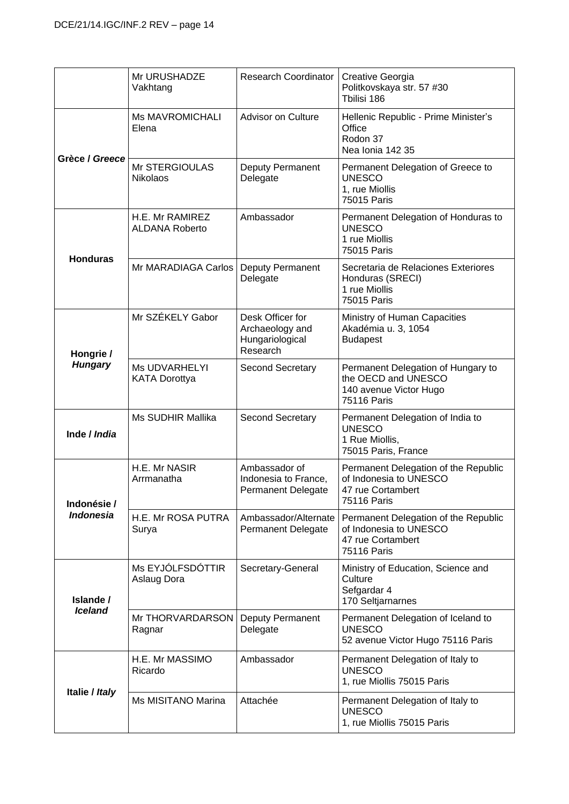|                             | Mr URUSHADZE<br>Vakhtang                     | Research Coordinator                                               | Creative Georgia<br>Politkovskaya str. 57 #30<br>Tbilisi 186                                              |
|-----------------------------|----------------------------------------------|--------------------------------------------------------------------|-----------------------------------------------------------------------------------------------------------|
| Grèce / Greece              | <b>Ms MAVROMICHALI</b><br>Elena              | Advisor on Culture                                                 | Hellenic Republic - Prime Minister's<br>Office<br>Rodon 37<br>Nea Ionia 142 35                            |
|                             | Mr STERGIOULAS<br>Nikolaos                   | Deputy Permanent<br>Delegate                                       | Permanent Delegation of Greece to<br><b>UNESCO</b><br>1, rue Miollis<br>75015 Paris                       |
| <b>Honduras</b>             | H.E. Mr RAMIREZ<br><b>ALDANA Roberto</b>     | Ambassador                                                         | Permanent Delegation of Honduras to<br><b>UNESCO</b><br>1 rue Miollis<br>75015 Paris                      |
|                             | Mr MARADIAGA Carlos                          | Deputy Permanent<br>Delegate                                       | Secretaria de Relaciones Exteriores<br>Honduras (SRECI)<br>1 rue Miollis<br>75015 Paris                   |
| Hongrie /<br><b>Hungary</b> | Mr SZÉKELY Gabor                             | Desk Officer for<br>Archaeology and<br>Hungariological<br>Research | Ministry of Human Capacities<br>Akadémia u. 3, 1054<br><b>Budapest</b>                                    |
|                             | <b>Ms UDVARHELYI</b><br><b>KATA Dorottya</b> | Second Secretary                                                   | Permanent Delegation of Hungary to<br>the OECD and UNESCO<br>140 avenue Victor Hugo<br><b>75116 Paris</b> |
| Inde / India                | Ms SUDHIR Mallika                            | Second Secretary                                                   | Permanent Delegation of India to<br><b>UNESCO</b><br>1 Rue Miollis,<br>75015 Paris, France                |
| Indonésie /                 | H.E. Mr NASIR<br>Arrmanatha                  | Ambassador of<br>Indonesia to France,<br>Permanent Delegate        | Permanent Delegation of the Republic<br>of Indonesia to UNESCO<br>47 rue Cortambert<br><b>75116 Paris</b> |
| <b>Indonesia</b>            | H.E. Mr ROSA PUTRA<br>Surya                  | Ambassador/Alternate<br><b>Permanent Delegate</b>                  | Permanent Delegation of the Republic<br>of Indonesia to UNESCO<br>47 rue Cortambert<br><b>75116 Paris</b> |
| Islande /<br><b>Iceland</b> | Ms EYJÓLFSDÓTTIR<br>Aslaug Dora              | Secretary-General                                                  | Ministry of Education, Science and<br>Culture<br>Sefgardar 4<br>170 Seltjarnarnes                         |
|                             | Mr THORVARDARSON<br>Ragnar                   | Deputy Permanent<br>Delegate                                       | Permanent Delegation of Iceland to<br><b>UNESCO</b><br>52 avenue Victor Hugo 75116 Paris                  |
| Italie / Italy              | H.E. Mr MASSIMO<br>Ricardo                   | Ambassador                                                         | Permanent Delegation of Italy to<br><b>UNESCO</b><br>1, rue Miollis 75015 Paris                           |
|                             | Ms MISITANO Marina                           | Attachée                                                           | Permanent Delegation of Italy to<br><b>UNESCO</b><br>1, rue Miollis 75015 Paris                           |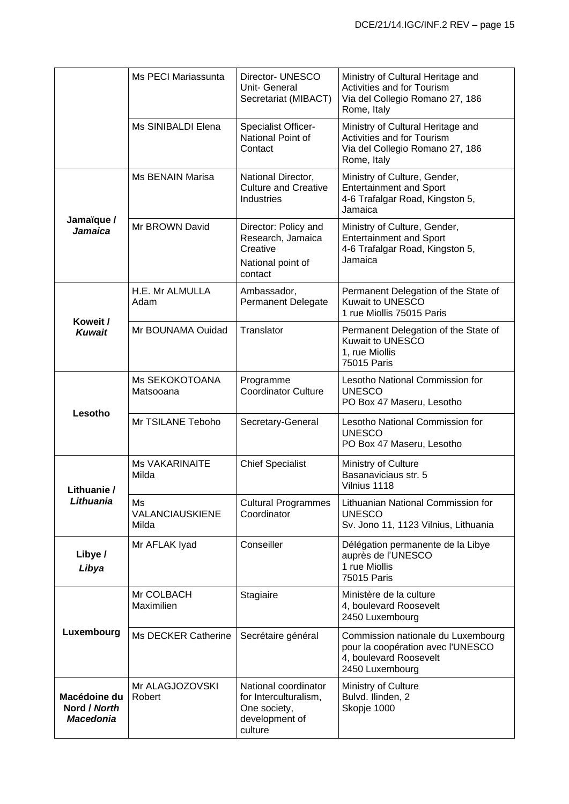|                                                  | Ms PECI Mariassunta                          | Director- UNESCO<br>Unit- General<br>Secretariat (MIBACT)                                  | Ministry of Cultural Heritage and<br>Activities and for Tourism<br>Via del Collegio Romano 27, 186<br>Rome, Italy    |
|--------------------------------------------------|----------------------------------------------|--------------------------------------------------------------------------------------------|----------------------------------------------------------------------------------------------------------------------|
|                                                  | Ms SINIBALDI Elena                           | <b>Specialist Officer-</b><br>National Point of<br>Contact                                 | Ministry of Cultural Heritage and<br>Activities and for Tourism<br>Via del Collegio Romano 27, 186<br>Rome, Italy    |
| Jamaïque /<br><b>Jamaica</b>                     | Ms BENAIN Marisa                             | National Director,<br><b>Culture and Creative</b><br>Industries                            | Ministry of Culture, Gender,<br><b>Entertainment and Sport</b><br>4-6 Trafalgar Road, Kingston 5,<br>Jamaica         |
|                                                  | Mr BROWN David                               | Director: Policy and<br>Research, Jamaica<br>Creative<br>National point of<br>contact      | Ministry of Culture, Gender,<br><b>Entertainment and Sport</b><br>4-6 Trafalgar Road, Kingston 5,<br>Jamaica         |
|                                                  | H.E. Mr ALMULLA<br>Adam                      | Ambassador,<br><b>Permanent Delegate</b>                                                   | Permanent Delegation of the State of<br>Kuwait to UNESCO<br>1 rue Miollis 75015 Paris                                |
| Koweit /<br><b>Kuwait</b>                        | Mr BOUNAMA Ouidad                            | Translator                                                                                 | Permanent Delegation of the State of<br>Kuwait to UNESCO<br>1, rue Miollis<br>75015 Paris                            |
|                                                  | Ms SEKOKOTOANA<br>Matsooana                  | Programme<br><b>Coordinator Culture</b>                                                    | Lesotho National Commission for<br><b>UNESCO</b><br>PO Box 47 Maseru, Lesotho                                        |
| Lesotho                                          | Mr TSILANE Teboho                            | Secretary-General                                                                          | Lesotho National Commission for<br><b>UNESCO</b><br>PO Box 47 Maseru, Lesotho                                        |
| Lithuanie /                                      | <b>Ms VAKARINAITE</b><br>Milda               | <b>Chief Specialist</b>                                                                    | Ministry of Culture<br>Basanaviciaus str. 5<br>Vilnius 1118                                                          |
| Lithuania                                        | Ms<br><b><i>VALANCIAUSKIENE</i></b><br>Milda | <b>Cultural Programmes</b><br>Coordinator                                                  | Lithuanian National Commission for<br><b>UNESCO</b><br>Sv. Jono 11, 1123 Vilnius, Lithuania                          |
| Libye /<br>Libya                                 | Mr AFLAK Iyad                                | Conseiller                                                                                 | Délégation permanente de la Libye<br>auprès de l'UNESCO<br>1 rue Miollis<br>75015 Paris                              |
| Luxembourg                                       | Mr COLBACH<br>Maximilien                     | Stagiaire                                                                                  | Ministère de la culture<br>4, boulevard Roosevelt<br>2450 Luxembourg                                                 |
|                                                  | Ms DECKER Catherine                          | Secrétaire général                                                                         | Commission nationale du Luxembourg<br>pour la coopération avec l'UNESCO<br>4, boulevard Roosevelt<br>2450 Luxembourg |
| Macédoine du<br>Nord / North<br><b>Macedonia</b> | Mr ALAGJOZOVSKI<br>Robert                    | National coordinator<br>for Interculturalism,<br>One society,<br>development of<br>culture | Ministry of Culture<br>Bulvd. Ilinden, 2<br>Skopje 1000                                                              |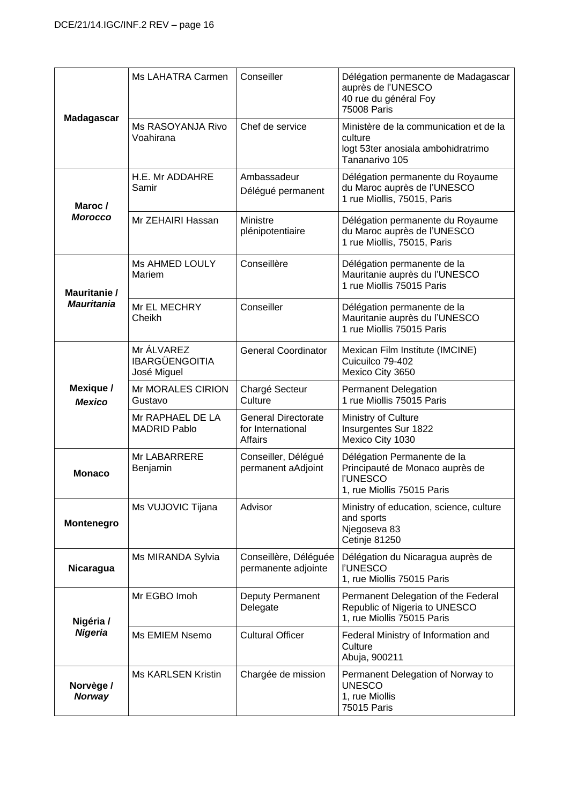|                            | Ms LAHATRA Carmen                                  | Conseiller                                                 | Délégation permanente de Madagascar<br>auprès de l'UNESCO<br>40 rue du général Foy<br>75008 Paris               |
|----------------------------|----------------------------------------------------|------------------------------------------------------------|-----------------------------------------------------------------------------------------------------------------|
| <b>Madagascar</b>          | Ms RASOYANJA Rivo<br>Voahirana                     | Chef de service                                            | Ministère de la communication et de la<br>culture<br>logt 53ter anosiala ambohidratrimo<br>Tananarivo 105       |
| Maroc /                    | H.E. Mr ADDAHRE<br>Samir                           | Ambassadeur<br>Délégué permanent                           | Délégation permanente du Royaume<br>du Maroc auprès de l'UNESCO<br>1 rue Miollis, 75015, Paris                  |
| <b>Morocco</b>             | Mr ZEHAIRI Hassan                                  | <b>Ministre</b><br>plénipotentiaire                        | Délégation permanente du Royaume<br>du Maroc auprès de l'UNESCO<br>1 rue Miollis, 75015, Paris                  |
| Mauritanie /               | <b>Ms AHMED LOULY</b><br>Mariem                    | Conseillère                                                | Délégation permanente de la<br>Mauritanie auprès du l'UNESCO<br>1 rue Miollis 75015 Paris                       |
| <b>Mauritania</b>          | Mr EL MECHRY<br>Cheikh                             | Conseiller                                                 | Délégation permanente de la<br>Mauritanie auprès du l'UNESCO<br>1 rue Miollis 75015 Paris                       |
|                            | Mr ÁLVAREZ<br><b>IBARGÜENGOITIA</b><br>José Miguel | <b>General Coordinator</b>                                 | Mexican Film Institute (IMCINE)<br>Cuicuilco 79-402<br>Mexico City 3650                                         |
| Mexique /<br><b>Mexico</b> | Mr MORALES CIRION<br>Gustavo                       | Chargé Secteur<br>Culture                                  | <b>Permanent Delegation</b><br>1 rue Miollis 75015 Paris                                                        |
|                            | Mr RAPHAEL DE LA<br><b>MADRID Pablo</b>            | <b>General Directorate</b><br>for International<br>Affairs | Ministry of Culture<br>Insurgentes Sur 1822<br>Mexico City 1030                                                 |
| <b>Monaco</b>              | Mr LABARRERE<br>Benjamin                           | Conseiller, Délégué<br>permanent aAdjoint                  | Délégation Permanente de la<br>Principauté de Monaco auprès de<br><b>I'UNESCO</b><br>1, rue Miollis 75015 Paris |
| <b>Montenegro</b>          | Ms VUJOVIC Tijana                                  | Advisor                                                    | Ministry of education, science, culture<br>and sports<br>Njegoseva 83<br>Cetinje 81250                          |
| Nicaragua                  | Ms MIRANDA Sylvia                                  | Conseillère, Déléguée<br>permanente adjointe               | Délégation du Nicaragua auprès de<br><b>I'UNESCO</b><br>1, rue Miollis 75015 Paris                              |
| Nigéria /                  | Mr EGBO Imoh                                       | Deputy Permanent<br>Delegate                               | Permanent Delegation of the Federal<br>Republic of Nigeria to UNESCO<br>1, rue Miollis 75015 Paris              |
| <b>Nigeria</b>             | Ms EMIEM Nsemo                                     | <b>Cultural Officer</b>                                    | Federal Ministry of Information and<br>Culture<br>Abuja, 900211                                                 |
| Norvège /<br><b>Norway</b> | <b>Ms KARLSEN Kristin</b>                          | Chargée de mission                                         | Permanent Delegation of Norway to<br><b>UNESCO</b><br>1, rue Miollis<br>75015 Paris                             |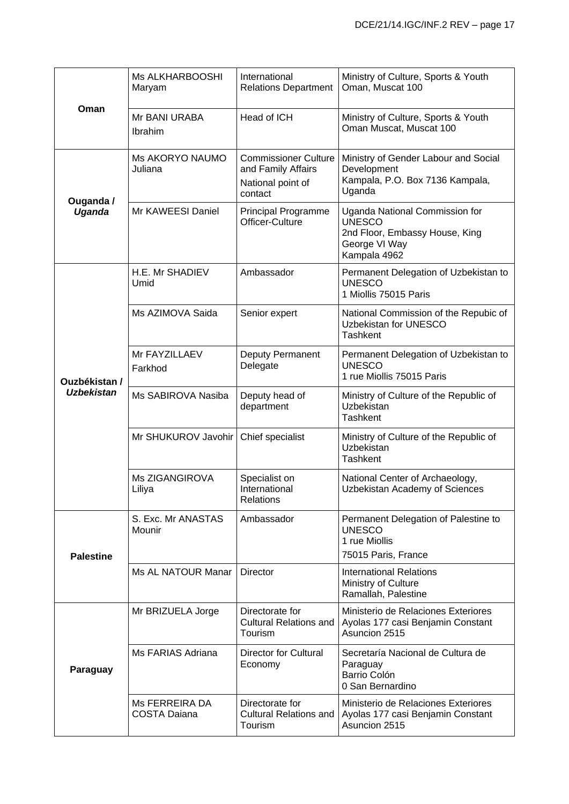|                   | Ms ALKHARBOOSHI<br>Maryam             | International<br><b>Relations Department</b>                                      | Ministry of Culture, Sports & Youth<br>Oman, Muscat 100                                                            |
|-------------------|---------------------------------------|-----------------------------------------------------------------------------------|--------------------------------------------------------------------------------------------------------------------|
| Oman              | Mr BANI URABA<br>Ibrahim              | Head of ICH                                                                       | Ministry of Culture, Sports & Youth<br>Oman Muscat, Muscat 100                                                     |
| Ouganda /         | Ms AKORYO NAUMO<br>Juliana            | <b>Commissioner Culture</b><br>and Family Affairs<br>National point of<br>contact | Ministry of Gender Labour and Social<br>Development<br>Kampala, P.O. Box 7136 Kampala,<br>Uganda                   |
| Uganda            | Mr KAWEESI Daniel                     | <b>Principal Programme</b><br>Officer-Culture                                     | Uganda National Commission for<br><b>UNESCO</b><br>2nd Floor, Embassy House, King<br>George VI Way<br>Kampala 4962 |
|                   | H.E. Mr SHADIEV<br>Umid               | Ambassador                                                                        | Permanent Delegation of Uzbekistan to<br><b>UNESCO</b><br>1 Miollis 75015 Paris                                    |
|                   | Ms AZIMOVA Saida                      | Senior expert                                                                     | National Commission of the Repubic of<br>Uzbekistan for UNESCO<br><b>Tashkent</b>                                  |
| Ouzbékistan /     | Mr FAYZILLAEV<br>Farkhod              | Deputy Permanent<br>Delegate                                                      | Permanent Delegation of Uzbekistan to<br><b>UNESCO</b><br>1 rue Miollis 75015 Paris                                |
| <b>Uzbekistan</b> | Ms SABIROVA Nasiba                    | Deputy head of<br>department                                                      | Ministry of Culture of the Republic of<br>Uzbekistan<br><b>Tashkent</b>                                            |
|                   | Mr SHUKUROV Javohir                   | Chief specialist                                                                  | Ministry of Culture of the Republic of<br>Uzbekistan<br><b>Tashkent</b>                                            |
|                   | Ms ZIGANGIROVA<br>Liliya              | Specialist on<br>International<br><b>Relations</b>                                | National Center of Archaeology,<br>Uzbekistan Academy of Sciences                                                  |
| <b>Palestine</b>  | S. Exc. Mr ANASTAS<br>Mounir          | Ambassador                                                                        | Permanent Delegation of Palestine to<br><b>UNESCO</b><br>1 rue Miollis<br>75015 Paris, France                      |
|                   | Ms AL NATOUR Manar                    | <b>Director</b>                                                                   | <b>International Relations</b><br>Ministry of Culture<br>Ramallah, Palestine                                       |
| Paraguay          | Mr BRIZUELA Jorge                     | Directorate for<br><b>Cultural Relations and</b><br>Tourism                       | Ministerio de Relaciones Exteriores<br>Ayolas 177 casi Benjamin Constant<br>Asuncion 2515                          |
|                   | Ms FARIAS Adriana                     | Director for Cultural<br>Economy                                                  | Secretaría Nacional de Cultura de<br>Paraguay<br>Barrio Colón<br>0 San Bernardino                                  |
|                   | Ms FERREIRA DA<br><b>COSTA Daiana</b> | Directorate for<br><b>Cultural Relations and</b><br>Tourism                       | Ministerio de Relaciones Exteriores<br>Ayolas 177 casi Benjamin Constant<br>Asuncion 2515                          |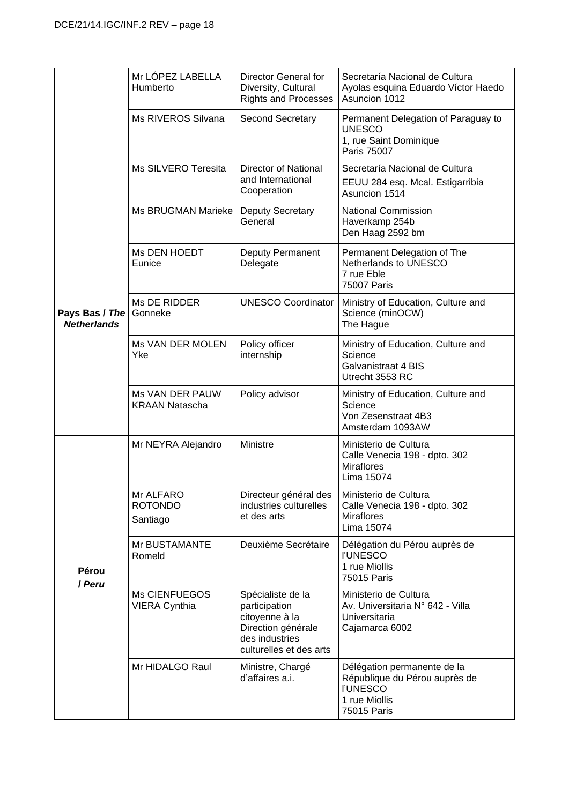|                                      | Mr LÓPEZ LABELLA<br>Humberto             | Director General for<br>Diversity, Cultural<br><b>Rights and Processes</b>                                              | Secretaría Nacional de Cultura<br>Ayolas esquina Eduardo Víctor Haedo<br>Asuncion 1012                          |
|--------------------------------------|------------------------------------------|-------------------------------------------------------------------------------------------------------------------------|-----------------------------------------------------------------------------------------------------------------|
|                                      | Ms RIVEROS Silvana                       | <b>Second Secretary</b>                                                                                                 | Permanent Delegation of Paraguay to<br><b>UNESCO</b><br>1, rue Saint Dominique<br>Paris 75007                   |
|                                      | Ms SILVERO Teresita                      | <b>Director of National</b><br>and International<br>Cooperation                                                         | Secretaría Nacional de Cultura<br>EEUU 284 esq. Mcal. Estigarribia<br>Asuncion 1514                             |
|                                      | Ms BRUGMAN Marieke                       | Deputy Secretary<br>General                                                                                             | <b>National Commission</b><br>Haverkamp 254b<br>Den Haag 2592 bm                                                |
|                                      | Ms DEN HOEDT<br>Eunice                   | Deputy Permanent<br>Delegate                                                                                            | Permanent Delegation of The<br>Netherlands to UNESCO<br>7 rue Eble<br><b>75007 Paris</b>                        |
| Pays Bas / The<br><b>Netherlands</b> | Ms DE RIDDER<br>Gonneke                  | <b>UNESCO Coordinator</b>                                                                                               | Ministry of Education, Culture and<br>Science (minOCW)<br>The Hague                                             |
|                                      | Ms VAN DER MOLEN<br>Yke                  | Policy officer<br>internship                                                                                            | Ministry of Education, Culture and<br>Science<br><b>Galvanistraat 4 BIS</b><br>Utrecht 3553 RC                  |
|                                      | Ms VAN DER PAUW<br><b>KRAAN Natascha</b> | Policy advisor                                                                                                          | Ministry of Education, Culture and<br>Science<br>Von Zesenstraat 4B3<br>Amsterdam 1093AW                        |
| Pérou<br>/ Peru                      | Mr NEYRA Alejandro                       | Ministre                                                                                                                | Ministerio de Cultura<br>Calle Venecia 198 - dpto. 302<br><b>Miraflores</b><br>Lima 15074                       |
|                                      | Mr ALFARO<br><b>ROTONDO</b><br>Santiago  | Directeur général des<br>industries culturelles<br>et des arts                                                          | Ministerio de Cultura<br>Calle Venecia 198 - dpto. 302<br><b>Miraflores</b><br>Lima 15074                       |
|                                      | Mr BUSTAMANTE<br>Romeld                  | Deuxième Secrétaire                                                                                                     | Délégation du Pérou auprès de<br><b>I'UNESCO</b><br>1 rue Miollis<br>75015 Paris                                |
|                                      | Ms CIENFUEGOS<br><b>VIERA Cynthia</b>    | Spécialiste de la<br>participation<br>citoyenne à la<br>Direction générale<br>des industries<br>culturelles et des arts | Ministerio de Cultura<br>Av. Universitaria N° 642 - Villa<br>Universitaria<br>Cajamarca 6002                    |
|                                      | Mr HIDALGO Raul                          | Ministre, Chargé<br>d'affaires a.i.                                                                                     | Délégation permanente de la<br>République du Pérou auprès de<br><b>I'UNESCO</b><br>1 rue Miollis<br>75015 Paris |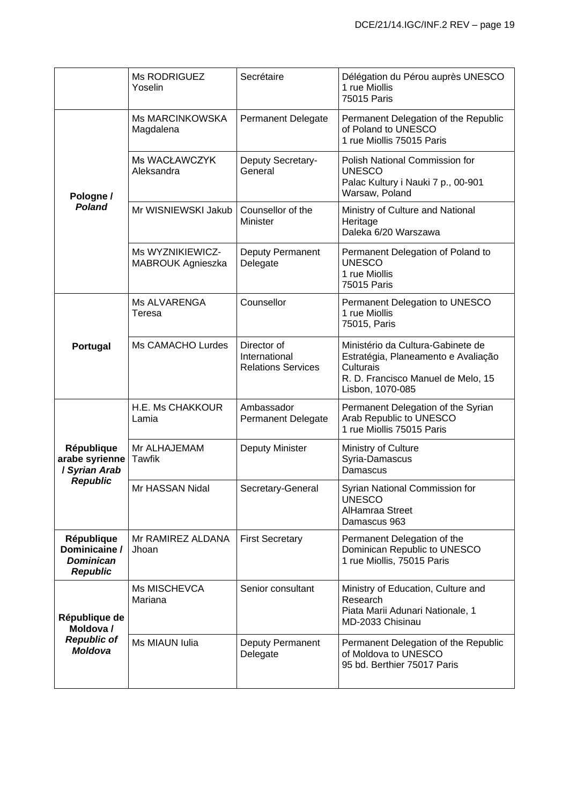|                                                                    | Ms RODRIGUEZ<br>Yoselin               | Secrétaire                                                | Délégation du Pérou auprès UNESCO<br>1 rue Miollis<br>75015 Paris                                                                               |
|--------------------------------------------------------------------|---------------------------------------|-----------------------------------------------------------|-------------------------------------------------------------------------------------------------------------------------------------------------|
|                                                                    | <b>Ms MARCINKOWSKA</b><br>Magdalena   | <b>Permanent Delegate</b>                                 | Permanent Delegation of the Republic<br>of Poland to UNESCO<br>1 rue Miollis 75015 Paris                                                        |
| Pologne /                                                          | Ms WACŁAWCZYK<br>Aleksandra           | Deputy Secretary-<br>General                              | Polish National Commission for<br><b>UNESCO</b><br>Palac Kultury i Nauki 7 p., 00-901<br>Warsaw, Poland                                         |
| <b>Poland</b>                                                      | Mr WISNIEWSKI Jakub                   | Counsellor of the<br>Minister                             | Ministry of Culture and National<br>Heritage<br>Daleka 6/20 Warszawa                                                                            |
|                                                                    | Ms WYZNIKIEWICZ-<br>MABROUK Agnieszka | Deputy Permanent<br>Delegate                              | Permanent Delegation of Poland to<br><b>UNESCO</b><br>1 rue Miollis<br>75015 Paris                                                              |
|                                                                    | Ms ALVARENGA<br>Teresa                | Counsellor                                                | Permanent Delegation to UNESCO<br>1 rue Miollis<br>75015, Paris                                                                                 |
| Portugal                                                           | Ms CAMACHO Lurdes                     | Director of<br>International<br><b>Relations Services</b> | Ministério da Cultura-Gabinete de<br>Estratégia, Planeamento e Avaliação<br>Culturais<br>R. D. Francisco Manuel de Melo, 15<br>Lisbon, 1070-085 |
|                                                                    | H.E. Ms CHAKKOUR<br>Lamia             | Ambassador<br>Permanent Delegate                          | Permanent Delegation of the Syrian<br>Arab Republic to UNESCO<br>1 rue Miollis 75015 Paris                                                      |
| République<br>arabe syrienne<br>/ Syrian Arab                      | Mr ALHAJEMAM<br><b>Tawfik</b>         | Deputy Minister                                           | Ministry of Culture<br>Syria-Damascus<br>Damascus                                                                                               |
| <b>Republic</b>                                                    | Mr HASSAN Nidal                       | Secretary-General                                         | Syrian National Commission for<br><b>UNESCO</b><br><b>AlHamraa Street</b><br>Damascus 963                                                       |
| République<br>Dominicaine /<br><b>Dominican</b><br><b>Republic</b> | Mr RAMIREZ ALDANA<br>Jhoan            | <b>First Secretary</b>                                    | Permanent Delegation of the<br>Dominican Republic to UNESCO<br>1 rue Miollis, 75015 Paris                                                       |
| République de<br>Moldova /                                         | Ms MISCHEVCA<br>Mariana               | Senior consultant                                         | Ministry of Education, Culture and<br>Research<br>Piata Marii Adunari Nationale, 1<br>MD-2033 Chisinau                                          |
| <b>Republic of</b><br><b>Moldova</b>                               | Ms MIAUN Iulia                        | Deputy Permanent<br>Delegate                              | Permanent Delegation of the Republic<br>of Moldova to UNESCO<br>95 bd. Berthier 75017 Paris                                                     |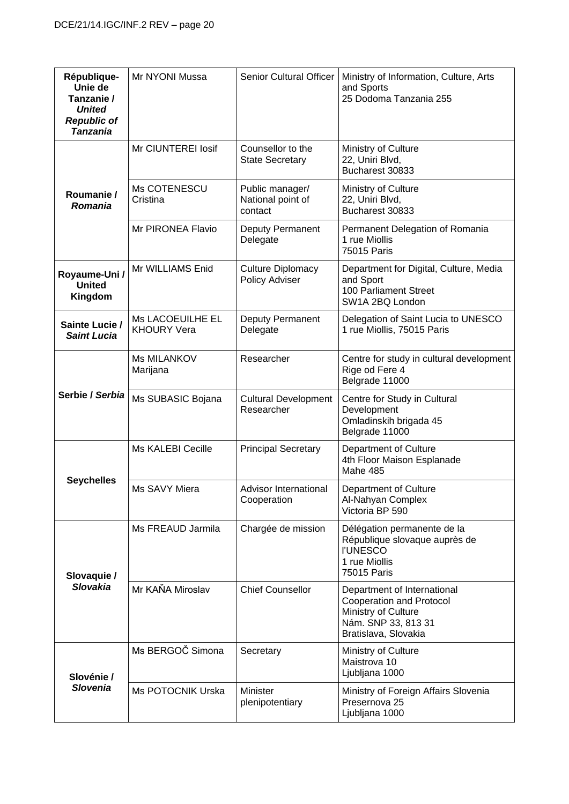| République-<br>Unie de<br>Tanzanie /<br><b>United</b><br><b>Republic of</b><br><b>Tanzania</b> | Mr NYONI Mussa                         | <b>Senior Cultural Officer</b>                  | Ministry of Information, Culture, Arts<br>and Sports<br>25 Dodoma Tanzania 255                                                |
|------------------------------------------------------------------------------------------------|----------------------------------------|-------------------------------------------------|-------------------------------------------------------------------------------------------------------------------------------|
|                                                                                                | Mr CIUNTEREI Iosif                     | Counsellor to the<br><b>State Secretary</b>     | Ministry of Culture<br>22, Uniri Blvd,<br>Bucharest 30833                                                                     |
| Roumanie /<br>Romania                                                                          | Ms COTENESCU<br>Cristina               | Public manager/<br>National point of<br>contact | Ministry of Culture<br>22, Uniri Blvd,<br>Bucharest 30833                                                                     |
|                                                                                                | Mr PIRONEA Flavio                      | Deputy Permanent<br>Delegate                    | Permanent Delegation of Romania<br>1 rue Miollis<br>75015 Paris                                                               |
| Royaume-Uni /<br><b>United</b><br>Kingdom                                                      | Mr WILLIAMS Enid                       | <b>Culture Diplomacy</b><br>Policy Adviser      | Department for Digital, Culture, Media<br>and Sport<br>100 Parliament Street<br>SW1A 2BQ London                               |
| Sainte Lucie /<br><b>Saint Lucia</b>                                                           | Ms LACOEUILHE EL<br><b>KHOURY Vera</b> | Deputy Permanent<br>Delegate                    | Delegation of Saint Lucia to UNESCO<br>1 rue Miollis, 75015 Paris                                                             |
|                                                                                                | <b>Ms MILANKOV</b><br>Marijana         | Researcher                                      | Centre for study in cultural development<br>Rige od Fere 4<br>Belgrade 11000                                                  |
| Serbie / Serbia                                                                                | Ms SUBASIC Bojana                      | <b>Cultural Development</b><br>Researcher       | Centre for Study in Cultural<br>Development<br>Omladinskih brigada 45<br>Belgrade 11000                                       |
| <b>Seychelles</b>                                                                              | <b>Ms KALEBI Cecille</b>               | <b>Principal Secretary</b>                      | Department of Culture<br>4th Floor Maison Esplanade<br>Mahe 485                                                               |
|                                                                                                | Ms SAVY Miera                          | Advisor International<br>Cooperation            | Department of Culture<br>Al-Nahyan Complex<br>Victoria BP 590                                                                 |
| Slovaquie /                                                                                    | Ms FREAUD Jarmila                      | Chargée de mission                              | Délégation permanente de la<br>République slovaque auprès de<br><b>I'UNESCO</b><br>1 rue Miollis<br>75015 Paris               |
| <b>Slovakia</b>                                                                                | Mr KAŇA Miroslav                       | <b>Chief Counsellor</b>                         | Department of International<br>Cooperation and Protocol<br>Ministry of Culture<br>Nám. SNP 33, 813 31<br>Bratislava, Slovakia |
| Slovénie /                                                                                     | Ms BERGOČ Simona                       | Secretary                                       | Ministry of Culture<br>Maistrova 10<br>Ljubljana 1000                                                                         |
| <b>Slovenia</b>                                                                                | <b>Ms POTOCNIK Urska</b>               | Minister<br>plenipotentiary                     | Ministry of Foreign Affairs Slovenia<br>Presernova 25<br>Ljubljana 1000                                                       |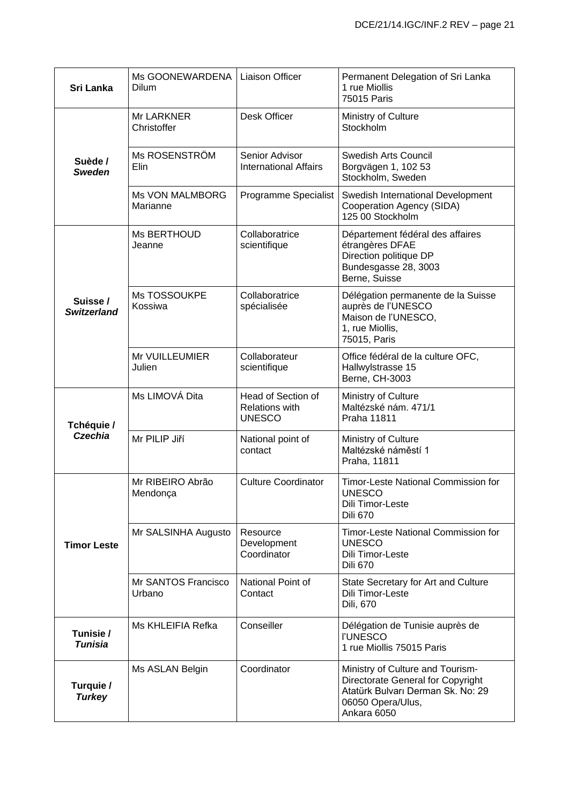| Sri Lanka                     | Ms GOONEWARDENA  <br>Dilum         | <b>Liaison Officer</b>                                       | Permanent Delegation of Sri Lanka<br>1 rue Miollis<br>75015 Paris                                                                              |
|-------------------------------|------------------------------------|--------------------------------------------------------------|------------------------------------------------------------------------------------------------------------------------------------------------|
|                               | Mr LARKNER<br>Christoffer          | Desk Officer                                                 | Ministry of Culture<br>Stockholm                                                                                                               |
| Suède /<br><b>Sweden</b>      | Ms ROSENSTRÖM<br>Elin              | Senior Advisor<br><b>International Affairs</b>               | <b>Swedish Arts Council</b><br>Borgvägen 1, 102 53<br>Stockholm, Sweden                                                                        |
|                               | <b>Ms VON MALMBORG</b><br>Marianne | Programme Specialist                                         | Swedish International Development<br>Cooperation Agency (SIDA)<br>125 00 Stockholm                                                             |
|                               | Ms BERTHOUD<br>Jeanne              | Collaboratrice<br>scientifique                               | Département fédéral des affaires<br>étrangères DFAE<br>Direction politique DP<br>Bundesgasse 28, 3003<br>Berne, Suisse                         |
| Suisse/<br><b>Switzerland</b> | Ms TOSSOUKPE<br>Kossiwa            | Collaboratrice<br>spécialisée                                | Délégation permanente de la Suisse<br>auprès de l'UNESCO<br>Maison de l'UNESCO,<br>1, rue Miollis,<br>75015, Paris                             |
|                               | Mr VUILLEUMIER<br>Julien           | Collaborateur<br>scientifique                                | Office fédéral de la culture OFC,<br>Hallwylstrasse 15<br>Berne, CH-3003                                                                       |
| Tchéquie /<br><b>Czechia</b>  | Ms LIMOVÁ Dita                     | Head of Section of<br><b>Relations with</b><br><b>UNESCO</b> | Ministry of Culture<br>Maltézské nám. 471/1<br>Praha 11811                                                                                     |
|                               | Mr PILIP Jiří                      | National point of<br>contact                                 | Ministry of Culture<br>Maltézské náměstí 1<br>Praha, 11811                                                                                     |
|                               | Mr RIBEIRO Abrão<br>Mendonça       | <b>Culture Coordinator</b>                                   | <b>Timor-Leste National Commission for</b><br><b>UNESCO</b><br>Dili Timor-Leste<br><b>Dili 670</b>                                             |
| <b>Timor Leste</b>            | Mr SALSINHA Augusto                | Resource<br>Development<br>Coordinator                       | <b>Timor-Leste National Commission for</b><br><b>UNESCO</b><br>Dili Timor-Leste<br><b>Dili 670</b>                                             |
|                               | Mr SANTOS Francisco<br>Urbano      | National Point of<br>Contact                                 | State Secretary for Art and Culture<br>Dili Timor-Leste<br>Dili, 670                                                                           |
| Tunisie /<br><b>Tunisia</b>   | Ms KHLEIFIA Refka                  | Conseiller                                                   | Délégation de Tunisie auprès de<br><b>I'UNESCO</b><br>1 rue Miollis 75015 Paris                                                                |
| Turquie /<br><b>Turkey</b>    | Ms ASLAN Belgin                    | Coordinator                                                  | Ministry of Culture and Tourism-<br>Directorate General for Copyright<br>Atatürk Bulvarı Derman Sk. No: 29<br>06050 Opera/Ulus,<br>Ankara 6050 |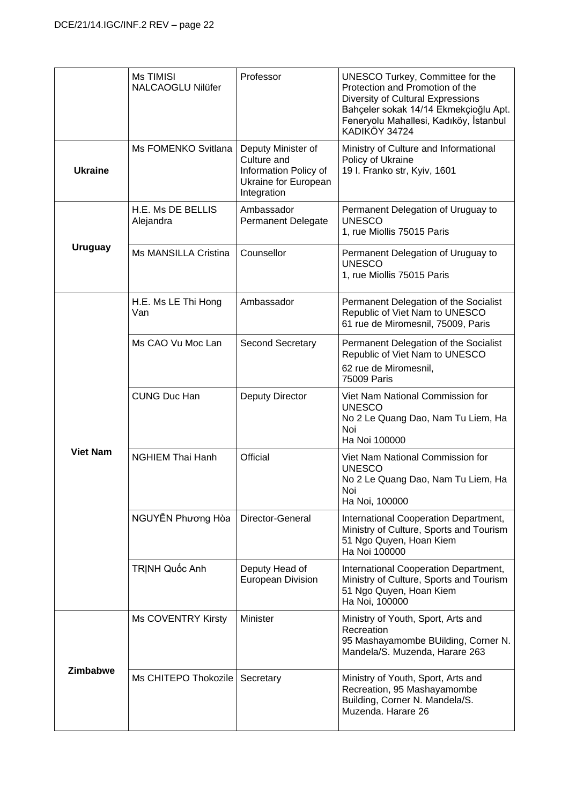|                 | Ms TIMISI<br><b>NALCAOGLU Nilüfer</b> | Professor                                                                                         | UNESCO Turkey, Committee for the<br>Protection and Promotion of the<br>Diversity of Cultural Expressions<br>Bahçeler sokak 14/14 Ekmekçioğlu Apt.<br>Feneryolu Mahallesi, Kadıköy, İstanbul<br>KADIKÖY 34724 |
|-----------------|---------------------------------------|---------------------------------------------------------------------------------------------------|--------------------------------------------------------------------------------------------------------------------------------------------------------------------------------------------------------------|
| <b>Ukraine</b>  | Ms FOMENKO Svitlana                   | Deputy Minister of<br>Culture and<br>Information Policy of<br>Ukraine for European<br>Integration | Ministry of Culture and Informational<br>Policy of Ukraine<br>19 I. Franko str, Kyiv, 1601                                                                                                                   |
|                 | H.E. Ms DE BELLIS<br>Alejandra        | Ambassador<br>Permanent Delegate                                                                  | Permanent Delegation of Uruguay to<br><b>UNESCO</b><br>1, rue Miollis 75015 Paris                                                                                                                            |
| <b>Uruguay</b>  | Ms MANSILLA Cristina                  | Counsellor                                                                                        | Permanent Delegation of Uruguay to<br><b>UNESCO</b><br>1, rue Miollis 75015 Paris                                                                                                                            |
|                 | H.E. Ms LE Thi Hong<br>Van            | Ambassador                                                                                        | Permanent Delegation of the Socialist<br>Republic of Viet Nam to UNESCO<br>61 rue de Miromesnil, 75009, Paris                                                                                                |
|                 | Ms CAO Vu Moc Lan                     | <b>Second Secretary</b>                                                                           | Permanent Delegation of the Socialist<br>Republic of Viet Nam to UNESCO<br>62 rue de Miromesnil,<br>75009 Paris                                                                                              |
|                 | <b>CUNG Duc Han</b>                   | Deputy Director                                                                                   | Viet Nam National Commission for<br><b>UNESCO</b><br>No 2 Le Quang Dao, Nam Tu Liem, Ha<br>Noi<br>Ha Noi 100000                                                                                              |
| <b>Viet Nam</b> | <b>NGHIEM Thai Hanh</b>               | Official                                                                                          | Viet Nam National Commission for<br><b>UNESCO</b><br>No 2 Le Quang Dao, Nam Tu Liem, Ha<br>Noi<br>Ha Noi, 100000                                                                                             |
|                 | NGUYẾN Phương Hòa                     | Director-General                                                                                  | International Cooperation Department,<br>Ministry of Culture, Sports and Tourism<br>51 Ngo Quyen, Hoan Kiem<br>Ha Noi 100000                                                                                 |
|                 | TRINH Quốc Anh                        | Deputy Head of<br><b>European Division</b>                                                        | International Cooperation Department,<br>Ministry of Culture, Sports and Tourism<br>51 Ngo Quyen, Hoan Kiem<br>Ha Noi, 100000                                                                                |
|                 | Ms COVENTRY Kirsty                    | Minister                                                                                          | Ministry of Youth, Sport, Arts and<br>Recreation<br>95 Mashayamombe BUilding, Corner N.<br>Mandela/S. Muzenda, Harare 263                                                                                    |
| Zimbabwe        | Ms CHITEPO Thokozile                  | Secretary                                                                                         | Ministry of Youth, Sport, Arts and<br>Recreation, 95 Mashayamombe<br>Building, Corner N. Mandela/S.<br>Muzenda. Harare 26                                                                                    |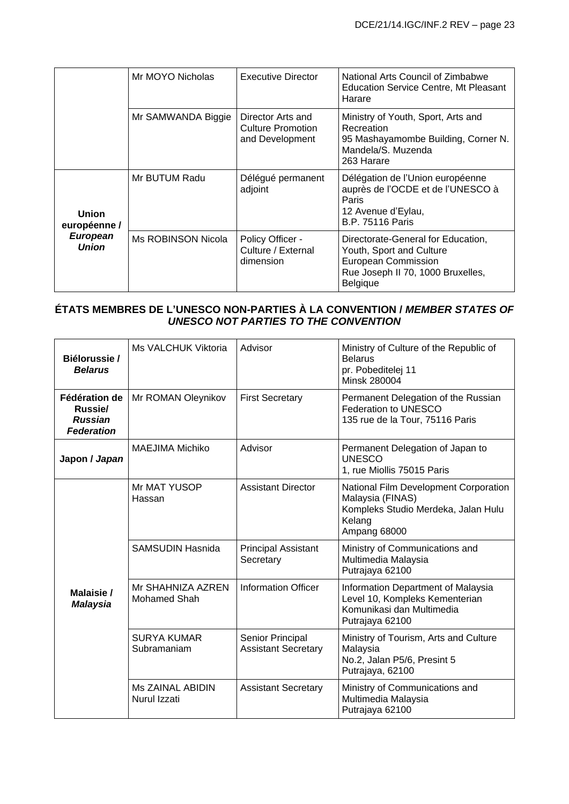|                                 | Mr MOYO Nicholas   | Executive Director                                               | National Arts Council of Zimbabwe<br><b>Education Service Centre, Mt Pleasant</b><br>Harare                                            |
|---------------------------------|--------------------|------------------------------------------------------------------|----------------------------------------------------------------------------------------------------------------------------------------|
|                                 | Mr SAMWANDA Biggie | Director Arts and<br><b>Culture Promotion</b><br>and Development | Ministry of Youth, Sport, Arts and<br>Recreation<br>95 Mashayamombe Building, Corner N.<br>Mandela/S. Muzenda<br>263 Harare            |
| <b>Union</b><br>européenne /    | Mr BUTUM Radu      | Délégué permanent<br>adjoint                                     | Délégation de l'Union européenne<br>auprès de l'OCDE et de l'UNESCO à<br>Paris<br>12 Avenue d'Eylau,<br><b>B.P. 75116 Paris</b>        |
| <b>European</b><br><b>Union</b> | Ms ROBINSON Nicola | Policy Officer -<br>Culture / External<br>dimension              | Directorate-General for Education,<br>Youth, Sport and Culture<br>European Commission<br>Rue Joseph II 70, 1000 Bruxelles,<br>Belgique |

## **ÉTATS MEMBRES DE L'UNESCO NON-PARTIES À LA CONVENTION /** *MEMBER STATES OF UNESCO NOT PARTIES TO THE CONVENTION*

| Biélorussie /<br><b>Belarus</b>                                 | Ms VALCHUK Viktoria                     | Advisor                                        | Ministry of Culture of the Republic of<br><b>Belarus</b><br>pr. Pobeditelej 11<br>Minsk 280004                             |
|-----------------------------------------------------------------|-----------------------------------------|------------------------------------------------|----------------------------------------------------------------------------------------------------------------------------|
| Fédération de<br>Russie/<br><b>Russian</b><br><b>Federation</b> | Mr ROMAN Oleynikov                      | <b>First Secretary</b>                         | Permanent Delegation of the Russian<br>Federation to UNESCO<br>135 rue de la Tour, 75116 Paris                             |
| Japon / Japan                                                   | MAEJIMA Michiko                         | Advisor                                        | Permanent Delegation of Japan to<br><b>UNESCO</b><br>1, rue Miollis 75015 Paris                                            |
|                                                                 | Mr MAT YUSOP<br>Hassan                  | <b>Assistant Director</b>                      | National Film Development Corporation<br>Malaysia (FINAS)<br>Kompleks Studio Merdeka, Jalan Hulu<br>Kelang<br>Ampang 68000 |
|                                                                 | <b>SAMSUDIN Hasnida</b>                 | <b>Principal Assistant</b><br>Secretary        | Ministry of Communications and<br>Multimedia Malaysia<br>Putrajaya 62100                                                   |
| Malaisie/<br><b>Malaysia</b>                                    | Mr SHAHNIZA AZREN<br>Mohamed Shah       | <b>Information Officer</b>                     | Information Department of Malaysia<br>Level 10, Kompleks Kementerian<br>Komunikasi dan Multimedia<br>Putrajaya 62100       |
|                                                                 | <b>SURYA KUMAR</b><br>Subramaniam       | Senior Principal<br><b>Assistant Secretary</b> | Ministry of Tourism, Arts and Culture<br>Malaysia<br>No.2, Jalan P5/6, Presint 5<br>Putrajaya, 62100                       |
|                                                                 | <b>Ms ZAINAL ABIDIN</b><br>Nurul Izzati | <b>Assistant Secretary</b>                     | Ministry of Communications and<br>Multimedia Malaysia<br>Putrajaya 62100                                                   |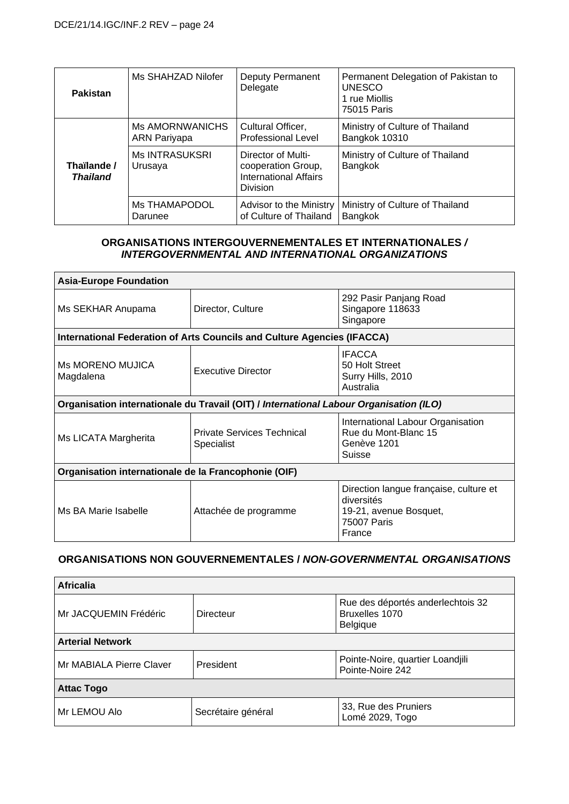| <b>Pakistan</b>                | Ms SHAHZAD Nilofer                            | Deputy Permanent<br>Delegate                                                                | Permanent Delegation of Pakistan to<br><b>UNESCO</b><br>1 rue Miollis<br>75015 Paris |
|--------------------------------|-----------------------------------------------|---------------------------------------------------------------------------------------------|--------------------------------------------------------------------------------------|
| Thaïlande /<br><b>Thailand</b> | <b>Ms AMORNWANICHS</b><br><b>ARN Pariyapa</b> | Cultural Officer,<br><b>Professional Level</b>                                              | Ministry of Culture of Thailand<br>Bangkok 10310                                     |
|                                | <b>Ms INTRASUKSRI</b><br>Urusaya              | Director of Multi-<br>cooperation Group,<br><b>International Affairs</b><br><b>Division</b> | Ministry of Culture of Thailand<br>Bangkok                                           |
|                                | <b>Ms THAMAPODOL</b><br>Darunee               | Advisor to the Ministry<br>of Culture of Thailand                                           | Ministry of Culture of Thailand<br>Bangkok                                           |

#### **ORGANISATIONS INTERGOUVERNEMENTALES ET INTERNATIONALES** */ INTERGOVERNMENTAL AND INTERNATIONAL ORGANIZATIONS*

| <b>Asia-Europe Foundation</b>                                                          |                                                                         |                                                                                                         |
|----------------------------------------------------------------------------------------|-------------------------------------------------------------------------|---------------------------------------------------------------------------------------------------------|
| Ms SEKHAR Anupama                                                                      | Director, Culture                                                       | 292 Pasir Panjang Road<br>Singapore 118633<br>Singapore                                                 |
|                                                                                        | International Federation of Arts Councils and Culture Agencies (IFACCA) |                                                                                                         |
| Ms MORENO MUJICA<br>Magdalena                                                          | <b>Executive Director</b>                                               | <b>IFACCA</b><br>50 Holt Street<br>Surry Hills, 2010<br>Australia                                       |
| Organisation internationale du Travail (OIT) / International Labour Organisation (ILO) |                                                                         |                                                                                                         |
| Ms LICATA Margherita                                                                   | <b>Private Services Technical</b><br>Specialist                         | International Labour Organisation<br>Rue du Mont-Blanc 15<br>Genève 1201<br><b>Suisse</b>               |
| Organisation internationale de la Francophonie (OIF)                                   |                                                                         |                                                                                                         |
| Ms BA Marie Isabelle                                                                   | Attachée de programme                                                   | Direction langue française, culture et<br>diversités<br>19-21, avenue Bosquet,<br>75007 Paris<br>France |

### **ORGANISATIONS NON GOUVERNEMENTALES /** *NON-GOVERNMENTAL ORGANISATIONS*

| <b>Africalia</b>         |                    |                                                                 |
|--------------------------|--------------------|-----------------------------------------------------------------|
| Mr JACQUEMIN Frédéric    | Directeur          | Rue des déportés anderlechtois 32<br>Bruxelles 1070<br>Belgique |
| <b>Arterial Network</b>  |                    |                                                                 |
| Mr MABIALA Pierre Claver | President          | Pointe-Noire, quartier Loandjili<br>Pointe-Noire 242            |
| <b>Attac Togo</b>        |                    |                                                                 |
| Mr LEMOU Alo             | Secrétaire général | 33, Rue des Pruniers<br>Lomé 2029, Togo                         |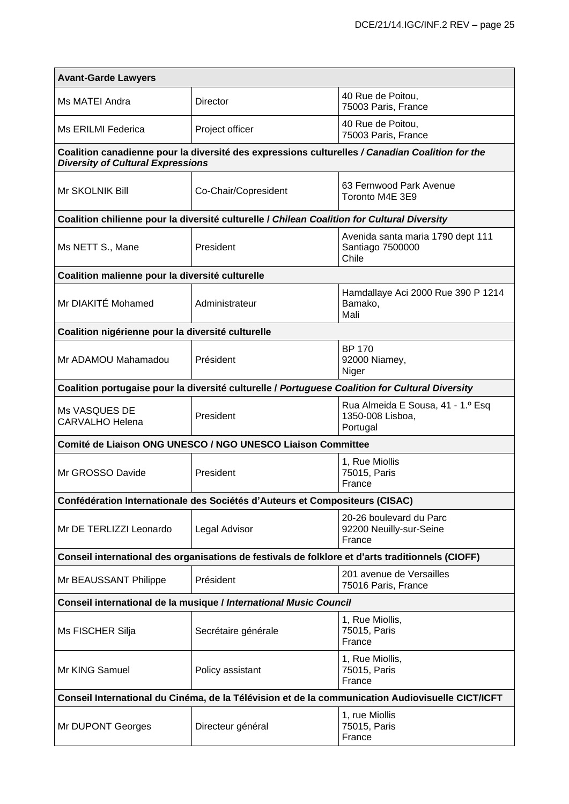| <b>Avant-Garde Lawyers</b>                                                                       |                                                                                                  |                                                                                                 |  |
|--------------------------------------------------------------------------------------------------|--------------------------------------------------------------------------------------------------|-------------------------------------------------------------------------------------------------|--|
| Ms MATEI Andra                                                                                   | Director                                                                                         | 40 Rue de Poitou,<br>75003 Paris, France                                                        |  |
| Ms ERILMI Federica                                                                               | Project officer                                                                                  | 40 Rue de Poitou,<br>75003 Paris, France                                                        |  |
| <b>Diversity of Cultural Expressions</b>                                                         |                                                                                                  | Coalition canadienne pour la diversité des expressions culturelles / Canadian Coalition for the |  |
| Mr SKOLNIK Bill                                                                                  | Co-Chair/Copresident                                                                             | 63 Fernwood Park Avenue<br>Toronto M4E 3E9                                                      |  |
|                                                                                                  | Coalition chilienne pour la diversité culturelle / Chilean Coalition for Cultural Diversity      |                                                                                                 |  |
| Ms NETT S., Mane                                                                                 | President                                                                                        | Avenida santa maria 1790 dept 111<br>Santiago 7500000<br>Chile                                  |  |
| Coalition malienne pour la diversité culturelle                                                  |                                                                                                  |                                                                                                 |  |
| Mr DIAKITÉ Mohamed                                                                               | Administrateur                                                                                   | Hamdallaye Aci 2000 Rue 390 P 1214<br>Bamako,<br>Mali                                           |  |
| Coalition nigérienne pour la diversité culturelle                                                |                                                                                                  |                                                                                                 |  |
| Mr ADAMOU Mahamadou                                                                              | Président                                                                                        | <b>BP 170</b><br>92000 Niamey,<br>Niger                                                         |  |
|                                                                                                  | Coalition portugaise pour la diversité culturelle / Portuguese Coalition for Cultural Diversity  |                                                                                                 |  |
| Ms VASQUES DE<br><b>CARVALHO Helena</b>                                                          | President                                                                                        | Rua Almeida E Sousa, 41 - 1.º Esq<br>1350-008 Lisboa,<br>Portugal                               |  |
|                                                                                                  | Comité de Liaison ONG UNESCO / NGO UNESCO Liaison Committee                                      |                                                                                                 |  |
| Mr GROSSO Davide                                                                                 | President                                                                                        | 1, Rue Miollis<br>75015, Paris<br>France                                                        |  |
|                                                                                                  | Confédération Internationale des Sociétés d'Auteurs et Compositeurs (CISAC)                      |                                                                                                 |  |
| Mr DE TERLIZZI Leonardo                                                                          | Legal Advisor                                                                                    | 20-26 boulevard du Parc<br>92200 Neuilly-sur-Seine<br>France                                    |  |
|                                                                                                  | Conseil international des organisations de festivals de folklore et d'arts traditionnels (CIOFF) |                                                                                                 |  |
| Mr BEAUSSANT Philippe                                                                            | Président                                                                                        | 201 avenue de Versailles<br>75016 Paris, France                                                 |  |
| Conseil international de la musique / International Music Council                                |                                                                                                  |                                                                                                 |  |
| Ms FISCHER Silja                                                                                 | Secrétaire générale                                                                              | 1, Rue Miollis,<br>75015, Paris<br>France                                                       |  |
| Mr KING Samuel                                                                                   | Policy assistant                                                                                 | 1, Rue Miollis,<br>75015, Paris<br>France                                                       |  |
| Conseil International du Cinéma, de la Télévision et de la communication Audiovisuelle CICT/ICFT |                                                                                                  |                                                                                                 |  |
| Mr DUPONT Georges                                                                                | Directeur général                                                                                | 1, rue Miollis<br>75015, Paris<br>France                                                        |  |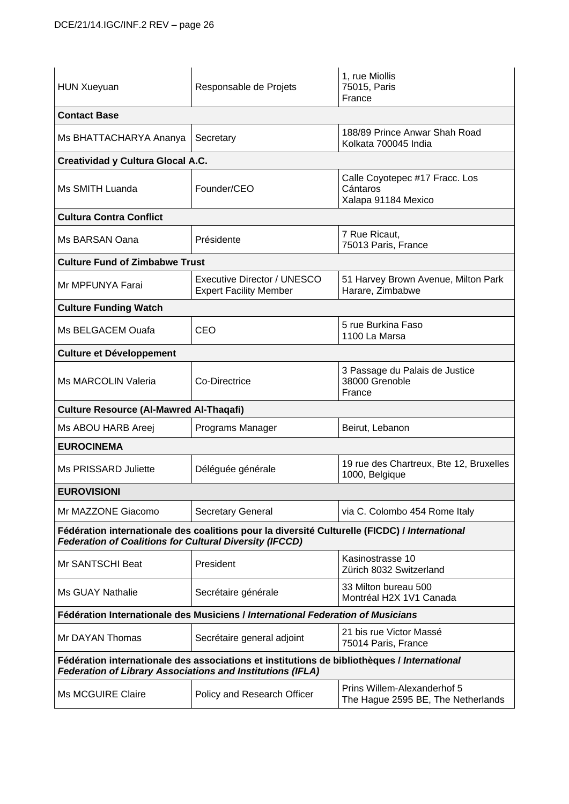| <b>HUN Xueyuan</b>                                                                                                                                              | Responsable de Projets                                       | 1, rue Miollis<br>75015, Paris<br>France                          |
|-----------------------------------------------------------------------------------------------------------------------------------------------------------------|--------------------------------------------------------------|-------------------------------------------------------------------|
| <b>Contact Base</b>                                                                                                                                             |                                                              |                                                                   |
| Ms BHATTACHARYA Ananya                                                                                                                                          | Secretary                                                    | 188/89 Prince Anwar Shah Road<br>Kolkata 700045 India             |
| <b>Creatividad y Cultura Glocal A.C.</b>                                                                                                                        |                                                              |                                                                   |
| Ms SMITH Luanda                                                                                                                                                 | Founder/CEO                                                  | Calle Coyotepec #17 Fracc. Los<br>Cántaros<br>Xalapa 91184 Mexico |
| <b>Cultura Contra Conflict</b>                                                                                                                                  |                                                              |                                                                   |
| Ms BARSAN Oana                                                                                                                                                  | Présidente                                                   | 7 Rue Ricaut.<br>75013 Paris, France                              |
| <b>Culture Fund of Zimbabwe Trust</b>                                                                                                                           |                                                              |                                                                   |
| Mr MPFUNYA Farai                                                                                                                                                | Executive Director / UNESCO<br><b>Expert Facility Member</b> | 51 Harvey Brown Avenue, Milton Park<br>Harare, Zimbabwe           |
| <b>Culture Funding Watch</b>                                                                                                                                    |                                                              |                                                                   |
| Ms BELGACEM Ouafa                                                                                                                                               | <b>CEO</b>                                                   | 5 rue Burkina Faso<br>1100 La Marsa                               |
| <b>Culture et Développement</b>                                                                                                                                 |                                                              |                                                                   |
| Ms MARCOLIN Valeria                                                                                                                                             | Co-Directrice                                                | 3 Passage du Palais de Justice<br>38000 Grenoble<br>France        |
| <b>Culture Resource (AI-Mawred AI-Thaqafi)</b>                                                                                                                  |                                                              |                                                                   |
| Ms ABOU HARB Areej                                                                                                                                              | Programs Manager                                             | Beirut, Lebanon                                                   |
| <b>EUROCINEMA</b>                                                                                                                                               |                                                              |                                                                   |
| Ms PRISSARD Juliette                                                                                                                                            | Déléguée générale                                            | 19 rue des Chartreux, Bte 12, Bruxelles<br>1000, Belgique         |
| <b>EUROVISIONI</b>                                                                                                                                              |                                                              |                                                                   |
| Mr MAZZONE Giacomo                                                                                                                                              | <b>Secretary General</b>                                     | via C. Colombo 454 Rome Italy                                     |
| Fédération internationale des coalitions pour la diversité Culturelle (FICDC) / International<br><b>Federation of Coalitions for Cultural Diversity (IFCCD)</b> |                                                              |                                                                   |
| Mr SANTSCHI Beat                                                                                                                                                | President                                                    | Kasinostrasse 10<br>Zürich 8032 Switzerland                       |
| <b>Ms GUAY Nathalie</b>                                                                                                                                         | Secrétaire générale                                          | 33 Milton bureau 500<br>Montréal H2X 1V1 Canada                   |
| Fédération Internationale des Musiciens / International Federation of Musicians                                                                                 |                                                              |                                                                   |
| Mr DAYAN Thomas                                                                                                                                                 | Secrétaire general adjoint                                   | 21 bis rue Victor Massé<br>75014 Paris, France                    |
| Fédération internationale des associations et institutions de bibliothèques / International<br>Federation of Library Associations and Institutions (IFLA)       |                                                              |                                                                   |
| <b>Ms MCGUIRE Claire</b>                                                                                                                                        | Policy and Research Officer                                  | Prins Willem-Alexanderhof 5<br>The Hague 2595 BE, The Netherlands |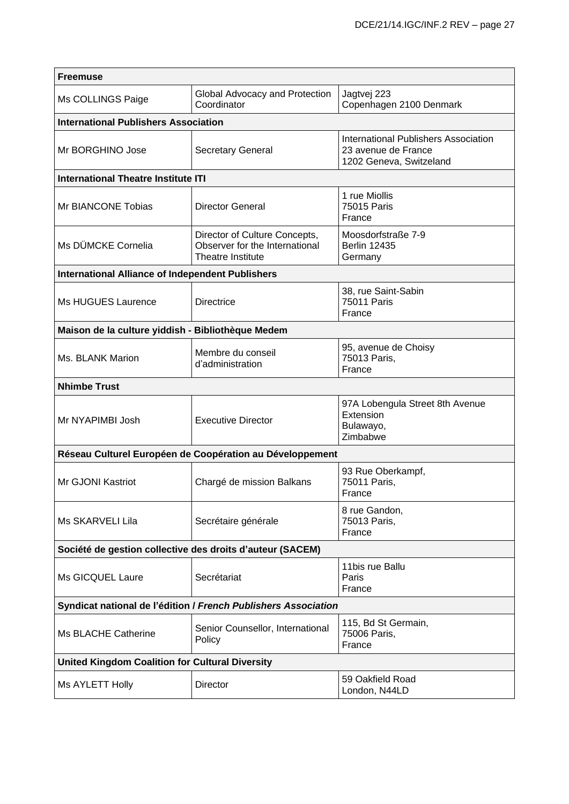| <b>Freemuse</b>                                                |                                                                                      |                                                                                               |  |
|----------------------------------------------------------------|--------------------------------------------------------------------------------------|-----------------------------------------------------------------------------------------------|--|
| Ms COLLINGS Paige                                              | Global Advocacy and Protection<br>Coordinator                                        | Jagtvej 223<br>Copenhagen 2100 Denmark                                                        |  |
| <b>International Publishers Association</b>                    |                                                                                      |                                                                                               |  |
| Mr BORGHINO Jose                                               | <b>Secretary General</b>                                                             | <b>International Publishers Association</b><br>23 avenue de France<br>1202 Geneva, Switzeland |  |
| <b>International Theatre Institute ITI</b>                     |                                                                                      |                                                                                               |  |
| Mr BIANCONE Tobias                                             | <b>Director General</b>                                                              | 1 rue Miollis<br>75015 Paris<br>France                                                        |  |
| Ms DÜMCKE Cornelia                                             | Director of Culture Concepts,<br>Observer for the International<br>Theatre Institute | Moosdorfstraße 7-9<br><b>Berlin 12435</b><br>Germany                                          |  |
| <b>International Alliance of Independent Publishers</b>        |                                                                                      |                                                                                               |  |
| <b>Ms HUGUES Laurence</b>                                      | <b>Directrice</b>                                                                    | 38, rue Saint-Sabin<br><b>75011 Paris</b><br>France                                           |  |
| Maison de la culture yiddish - Bibliothèque Medem              |                                                                                      |                                                                                               |  |
| Ms. BLANK Marion                                               | Membre du conseil<br>d'administration                                                | 95, avenue de Choisy<br>75013 Paris,<br>France                                                |  |
| <b>Nhimbe Trust</b>                                            |                                                                                      |                                                                                               |  |
| Mr NYAPIMBI Josh                                               | <b>Executive Director</b>                                                            | 97A Lobengula Street 8th Avenue<br>Extension<br>Bulawayo,<br>Zimbabwe                         |  |
|                                                                | Réseau Culturel Européen de Coopération au Développement                             |                                                                                               |  |
| Mr GJONI Kastriot                                              | Chargé de mission Balkans                                                            | 93 Rue Oberkampf,<br>75011 Paris,<br>France                                                   |  |
| Ms SKARVELI Lila                                               | Secrétaire générale                                                                  | 8 rue Gandon,<br>75013 Paris,<br>France                                                       |  |
| Société de gestion collective des droits d'auteur (SACEM)      |                                                                                      |                                                                                               |  |
| Ms GICQUEL Laure                                               | Secrétariat                                                                          | 11bis rue Ballu<br>Paris<br>France                                                            |  |
| Syndicat national de l'édition / French Publishers Association |                                                                                      |                                                                                               |  |
| Ms BLACHE Catherine                                            | Senior Counsellor, International<br>Policy                                           | 115, Bd St Germain,<br>75006 Paris,<br>France                                                 |  |
| <b>United Kingdom Coalition for Cultural Diversity</b>         |                                                                                      |                                                                                               |  |
| Ms AYLETT Holly                                                | Director                                                                             | 59 Oakfield Road<br>London, N44LD                                                             |  |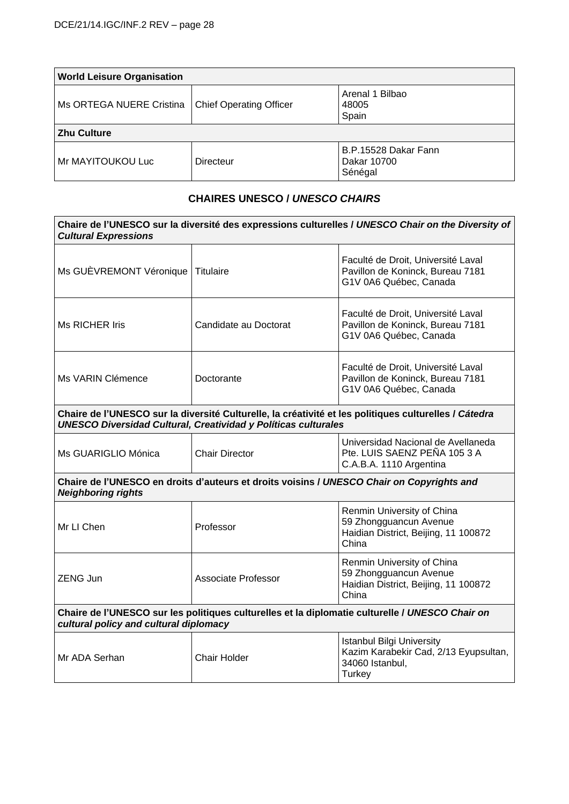| <b>World Leisure Organisation</b> |                                |                                                |
|-----------------------------------|--------------------------------|------------------------------------------------|
| Ms ORTEGA NUERE Cristina          | <b>Chief Operating Officer</b> | Arenal 1 Bilbao<br>48005<br>Spain              |
| <b>Zhu Culture</b>                |                                |                                                |
| Mr MAYITOUKOU Luc                 | Directeur                      | B.P.15528 Dakar Fann<br>Dakar 10700<br>Sénégal |

### **CHAIRES UNESCO /** *UNESCO CHAIRS*

| Chaire de l'UNESCO sur la diversité des expressions culturelles / UNESCO Chair on the Diversity of<br><b>Cultural Expressions</b>                                              |                            |                                                                                                               |  |
|--------------------------------------------------------------------------------------------------------------------------------------------------------------------------------|----------------------------|---------------------------------------------------------------------------------------------------------------|--|
| Ms GUÈVREMONT Véronique Titulaire                                                                                                                                              |                            | Faculté de Droit, Université Laval<br>Pavillon de Koninck, Bureau 7181<br>G1V 0A6 Québec, Canada              |  |
| <b>Ms RICHER Iris</b>                                                                                                                                                          | Candidate au Doctorat      | Faculté de Droit, Université Laval<br>Pavillon de Koninck, Bureau 7181<br>G1V 0A6 Québec, Canada              |  |
| Ms VARIN Clémence                                                                                                                                                              | Doctorante                 | Faculté de Droit, Université Laval<br>Pavillon de Koninck, Bureau 7181<br>G1V 0A6 Québec, Canada              |  |
| Chaire de l'UNESCO sur la diversité Culturelle, la créativité et les politiques culturelles / Cátedra<br><b>UNESCO Diversidad Cultural, Creatividad y Políticas culturales</b> |                            |                                                                                                               |  |
| Ms GUARIGLIO Mónica                                                                                                                                                            | <b>Chair Director</b>      | Universidad Nacional de Avellaneda<br>Pte. LUIS SAENZ PEÑA 105 3 A<br>C.A.B.A. 1110 Argentina                 |  |
| Chaire de l'UNESCO en droits d'auteurs et droits voisins / UNESCO Chair on Copyrights and<br><b>Neighboring rights</b>                                                         |                            |                                                                                                               |  |
| Mr LI Chen                                                                                                                                                                     | Professor                  | Renmin University of China<br>59 Zhongguancun Avenue<br>Haidian District, Beijing, 11 100872<br>China         |  |
| <b>ZENG Jun</b>                                                                                                                                                                | <b>Associate Professor</b> | Renmin University of China<br>59 Zhongguancun Avenue<br>Haidian District, Beijing, 11 100872<br>China         |  |
| Chaire de l'UNESCO sur les politiques culturelles et la diplomatie culturelle / UNESCO Chair on<br>cultural policy and cultural diplomacy                                      |                            |                                                                                                               |  |
| Mr ADA Serhan                                                                                                                                                                  | <b>Chair Holder</b>        | <b>Istanbul Bilgi University</b><br>Kazim Karabekir Cad, 2/13 Eyupsultan,<br>34060 Istanbul,<br><b>Turkey</b> |  |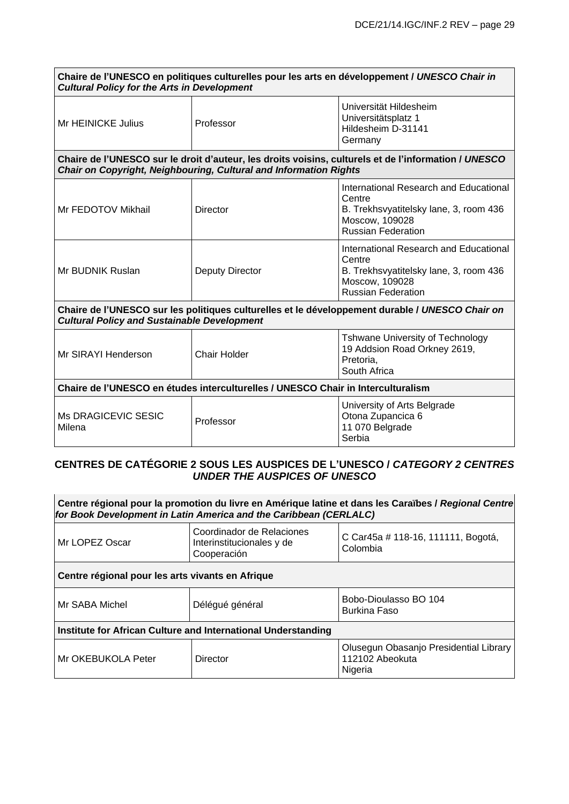| Chaire de l'UNESCO en politiques culturelles pour les arts en développement / UNESCO Chair in<br><b>Cultural Policy for the Arts in Development</b>   |                                                                   |                                                                                                                                           |
|-------------------------------------------------------------------------------------------------------------------------------------------------------|-------------------------------------------------------------------|-------------------------------------------------------------------------------------------------------------------------------------------|
| Mr HEINICKE Julius                                                                                                                                    | Professor                                                         | Universität Hildesheim<br>Universitätsplatz 1<br>Hildesheim D-31141<br>Germany                                                            |
|                                                                                                                                                       | Chair on Copyright, Neighbouring, Cultural and Information Rights | Chaire de l'UNESCO sur le droit d'auteur, les droits voisins, culturels et de l'information / UNESCO                                      |
| Mr FEDOTOV Mikhail                                                                                                                                    | Director                                                          | International Research and Educational<br>Centre<br>B. Trekhsvyatitelsky lane, 3, room 436<br>Moscow, 109028<br><b>Russian Federation</b> |
| Mr BUDNIK Ruslan                                                                                                                                      | Deputy Director                                                   | International Research and Educational<br>Centre<br>B. Trekhsvyatitelsky lane, 3, room 436<br>Moscow, 109028<br><b>Russian Federation</b> |
| Chaire de l'UNESCO sur les politiques culturelles et le développement durable / UNESCO Chair on<br><b>Cultural Policy and Sustainable Development</b> |                                                                   |                                                                                                                                           |
| Mr SIRAYI Henderson                                                                                                                                   | Chair Holder                                                      | <b>Tshwane University of Technology</b><br>19 Addsion Road Orkney 2619,<br>Pretoria,<br>South Africa                                      |
| Chaire de l'UNESCO en études interculturelles / UNESCO Chair in Interculturalism                                                                      |                                                                   |                                                                                                                                           |
| <b>Ms DRAGICEVIC SESIC</b><br>Milena                                                                                                                  | Professor                                                         | University of Arts Belgrade<br>Otona Zupancica 6<br>11 070 Belgrade<br>Serbia                                                             |

## **CENTRES DE CATÉGORIE 2 SOUS LES AUSPICES DE L'UNESCO /** *CATEGORY 2 CENTRES UNDER THE AUSPICES OF UNESCO*

| Centre régional pour la promotion du livre en Amérique latine et dans les Caraïbes / Regional Centre<br>for Book Development in Latin America and the Caribbean (CERLALC) |                                                                       |                                                                      |  |
|---------------------------------------------------------------------------------------------------------------------------------------------------------------------------|-----------------------------------------------------------------------|----------------------------------------------------------------------|--|
| Mr LOPEZ Oscar                                                                                                                                                            | Coordinador de Relaciones<br>Interinstitucionales y de<br>Cooperación | C Car45a # 118-16, 111111, Bogotá,<br>Colombia                       |  |
| Centre régional pour les arts vivants en Afrique                                                                                                                          |                                                                       |                                                                      |  |
| Mr SABA Michel                                                                                                                                                            | Délégué général                                                       | Bobo-Dioulasso BO 104<br><b>Burkina Faso</b>                         |  |
| Institute for African Culture and International Understanding                                                                                                             |                                                                       |                                                                      |  |
| Mr OKEBUKOLA Peter                                                                                                                                                        | Director                                                              | Olusegun Obasanjo Presidential Library<br>112102 Abeokuta<br>Nigeria |  |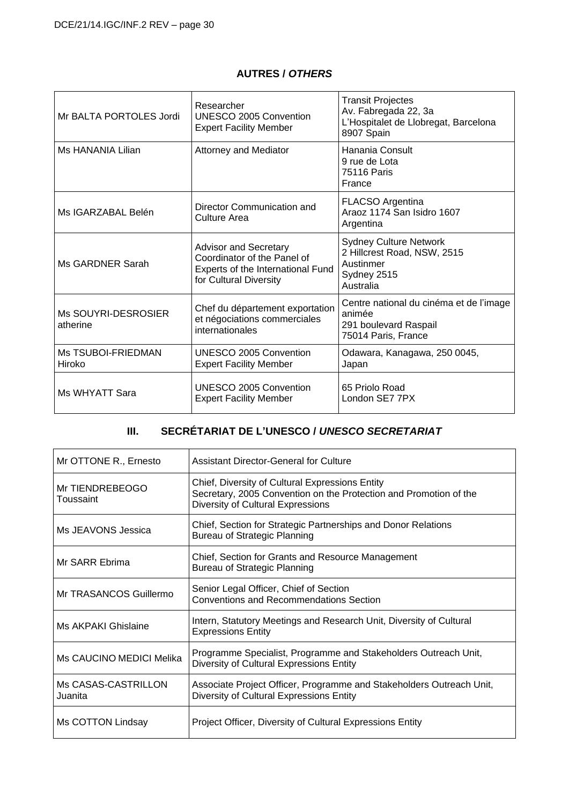#### **AUTRES /** *OTHERS*

| Mr BALTA PORTOLES Jordi             | Researcher<br>UNESCO 2005 Convention<br><b>Expert Facility Member</b>                                                      | <b>Transit Projectes</b><br>Av. Fabregada 22, 3a<br>L'Hospitalet de Llobregat, Barcelona<br>8907 Spain |
|-------------------------------------|----------------------------------------------------------------------------------------------------------------------------|--------------------------------------------------------------------------------------------------------|
| Ms HANANIA Lilian                   | <b>Attorney and Mediator</b>                                                                                               | Hanania Consult<br>9 rue de Lota<br><b>75116 Paris</b><br>France                                       |
| Ms IGARZABAL Belén                  | Director Communication and<br>Culture Area                                                                                 | FLACSO Argentina<br>Araoz 1174 San Isidro 1607<br>Argentina                                            |
| Ms GARDNER Sarah                    | <b>Advisor and Secretary</b><br>Coordinator of the Panel of<br>Experts of the International Fund<br>for Cultural Diversity | <b>Sydney Culture Network</b><br>2 Hillcrest Road, NSW, 2515<br>Austinmer<br>Sydney 2515<br>Australia  |
| Ms SOUYRI-DESROSIER<br>atherine     | Chef du département exportation<br>et négociations commerciales<br>internationales                                         | Centre national du cinéma et de l'image<br>animée<br>291 boulevard Raspail<br>75014 Paris, France      |
| <b>Ms TSUBOI-FRIEDMAN</b><br>Hiroko | UNESCO 2005 Convention<br><b>Expert Facility Member</b>                                                                    | Odawara, Kanagawa, 250 0045,<br>Japan                                                                  |
| Ms WHYATT Sara                      | UNESCO 2005 Convention<br><b>Expert Facility Member</b>                                                                    | 65 Priolo Road<br>London SE7 7PX                                                                       |

# **III. SECRÉTARIAT DE L'UNESCO /** *UNESCO SECRETARIAT*

| Mr OTTONE R., Ernesto          | <b>Assistant Director-General for Culture</b>                                                                                                             |
|--------------------------------|-----------------------------------------------------------------------------------------------------------------------------------------------------------|
| Mr TIENDREBEOGO<br>Toussaint   | Chief, Diversity of Cultural Expressions Entity<br>Secretary, 2005 Convention on the Protection and Promotion of the<br>Diversity of Cultural Expressions |
| Ms JEAVONS Jessica             | Chief, Section for Strategic Partnerships and Donor Relations<br><b>Bureau of Strategic Planning</b>                                                      |
| Mr SARR Ebrima                 | Chief, Section for Grants and Resource Management<br><b>Bureau of Strategic Planning</b>                                                                  |
| Mr TRASANCOS Guillermo         | Senior Legal Officer, Chief of Section<br><b>Conventions and Recommendations Section</b>                                                                  |
| Ms AKPAKI Ghislaine            | Intern, Statutory Meetings and Research Unit, Diversity of Cultural<br><b>Expressions Entity</b>                                                          |
| Ms CAUCINO MEDICI Melika       | Programme Specialist, Programme and Stakeholders Outreach Unit,<br>Diversity of Cultural Expressions Entity                                               |
| Ms CASAS-CASTRILLON<br>Juanita | Associate Project Officer, Programme and Stakeholders Outreach Unit,<br>Diversity of Cultural Expressions Entity                                          |
| Ms COTTON Lindsay              | Project Officer, Diversity of Cultural Expressions Entity                                                                                                 |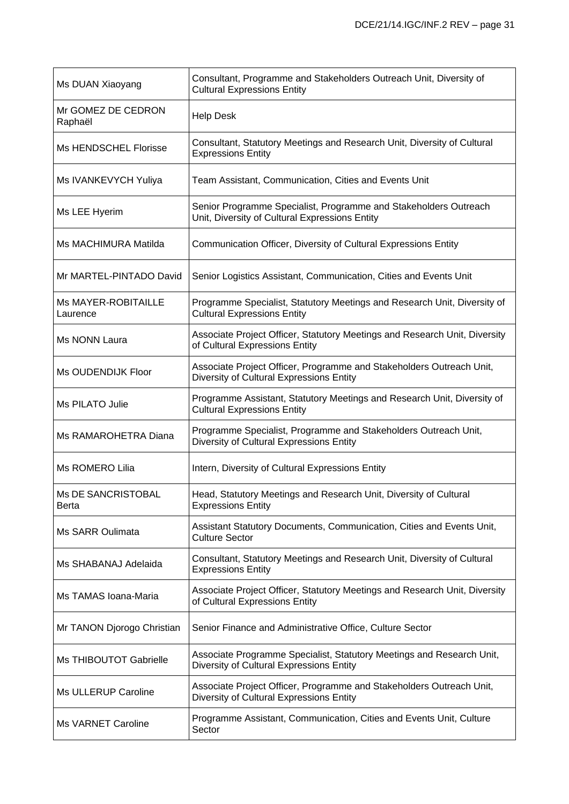| Ms DUAN Xiaoyang                   | Consultant, Programme and Stakeholders Outreach Unit, Diversity of<br><b>Cultural Expressions Entity</b>           |
|------------------------------------|--------------------------------------------------------------------------------------------------------------------|
| Mr GOMEZ DE CEDRON<br>Raphaël      | <b>Help Desk</b>                                                                                                   |
| Ms HENDSCHEL Florisse              | Consultant, Statutory Meetings and Research Unit, Diversity of Cultural<br><b>Expressions Entity</b>               |
| Ms IVANKEVYCH Yuliya               | Team Assistant, Communication, Cities and Events Unit                                                              |
| Ms LEE Hyerim                      | Senior Programme Specialist, Programme and Stakeholders Outreach<br>Unit, Diversity of Cultural Expressions Entity |
| Ms MACHIMURA Matilda               | Communication Officer, Diversity of Cultural Expressions Entity                                                    |
| Mr MARTEL-PINTADO David            | Senior Logistics Assistant, Communication, Cities and Events Unit                                                  |
| Ms MAYER-ROBITAILLE<br>Laurence    | Programme Specialist, Statutory Meetings and Research Unit, Diversity of<br><b>Cultural Expressions Entity</b>     |
| Ms NONN Laura                      | Associate Project Officer, Statutory Meetings and Research Unit, Diversity<br>of Cultural Expressions Entity       |
| Ms OUDENDIJK Floor                 | Associate Project Officer, Programme and Stakeholders Outreach Unit,<br>Diversity of Cultural Expressions Entity   |
| Ms PILATO Julie                    | Programme Assistant, Statutory Meetings and Research Unit, Diversity of<br><b>Cultural Expressions Entity</b>      |
| Ms RAMAROHETRA Diana               | Programme Specialist, Programme and Stakeholders Outreach Unit,<br>Diversity of Cultural Expressions Entity        |
| Ms ROMERO Lilia                    | Intern, Diversity of Cultural Expressions Entity                                                                   |
| <b>Ms DE SANCRISTOBAL</b><br>Berta | Head, Statutory Meetings and Research Unit, Diversity of Cultural<br><b>Expressions Entity</b>                     |
| Ms SARR Oulimata                   | Assistant Statutory Documents, Communication, Cities and Events Unit,<br><b>Culture Sector</b>                     |
| Ms SHABANAJ Adelaida               | Consultant, Statutory Meetings and Research Unit, Diversity of Cultural<br><b>Expressions Entity</b>               |
| Ms TAMAS Ioana-Maria               | Associate Project Officer, Statutory Meetings and Research Unit, Diversity<br>of Cultural Expressions Entity       |
| Mr TANON Djorogo Christian         | Senior Finance and Administrative Office, Culture Sector                                                           |
| <b>Ms THIBOUTOT Gabrielle</b>      | Associate Programme Specialist, Statutory Meetings and Research Unit,<br>Diversity of Cultural Expressions Entity  |
| Ms ULLERUP Caroline                | Associate Project Officer, Programme and Stakeholders Outreach Unit,<br>Diversity of Cultural Expressions Entity   |
| <b>Ms VARNET Caroline</b>          | Programme Assistant, Communication, Cities and Events Unit, Culture<br>Sector                                      |